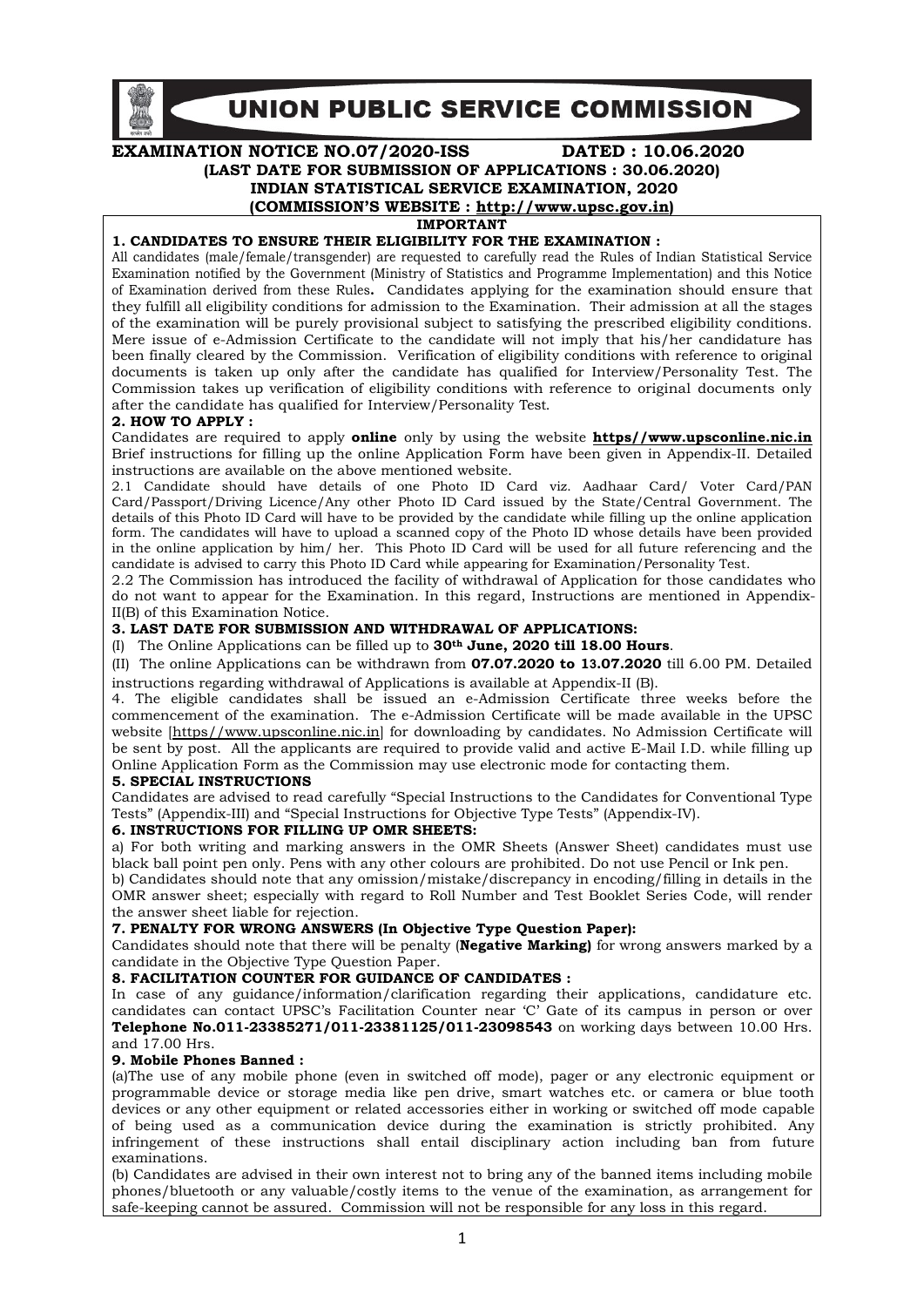

# EXAMINATION NOTICE NO.07/2020-ISS DATED : 10.06.2020 (LAST DATE FOR SUBMISSION OF APPLICATIONS : 30.06.2020) INDIAN STATISTICAL SERVICE EXAMINATION, 2020 (COMMISSION'S WEBSITE : http://www.upsc.gov.in)

IMPORTANT

#### 1. CANDIDATES TO ENSURE THEIR ELIGIBILITY FOR THE EXAMINATION :

All candidates (male/female/transgender) are requested to carefully read the Rules of Indian Statistical Service Examination notified by the Government (Ministry of Statistics and Programme Implementation) and this Notice of Examination derived from these Rules. Candidates applying for the examination should ensure that they fulfill all eligibility conditions for admission to the Examination. Their admission at all the stages of the examination will be purely provisional subject to satisfying the prescribed eligibility conditions. Mere issue of e-Admission Certificate to the candidate will not imply that his/her candidature has been finally cleared by the Commission. Verification of eligibility conditions with reference to original documents is taken up only after the candidate has qualified for Interview/Personality Test. The Commission takes up verification of eligibility conditions with reference to original documents only after the candidate has qualified for Interview/Personality Test.

#### 2. HOW TO APPLY :

Candidates are required to apply **online** only by using the website **https//www.upsconline.nic.in** Brief instructions for filling up the online Application Form have been given in Appendix-II. Detailed instructions are available on the above mentioned website.

2.1 Candidate should have details of one Photo ID Card viz. Aadhaar Card/ Voter Card/PAN Card/Passport/Driving Licence/Any other Photo ID Card issued by the State/Central Government. The details of this Photo ID Card will have to be provided by the candidate while filling up the online application form. The candidates will have to upload a scanned copy of the Photo ID whose details have been provided in the online application by him/ her. This Photo ID Card will be used for all future referencing and the candidate is advised to carry this Photo ID Card while appearing for Examination/Personality Test.

2.2 The Commission has introduced the facility of withdrawal of Application for those candidates who do not want to appear for the Examination. In this regard, Instructions are mentioned in Appendix-II(B) of this Examination Notice.

#### 3. LAST DATE FOR SUBMISSION AND WITHDRAWAL OF APPLICATIONS:

(I) The Online Applications can be filled up to  $30<sup>th</sup>$  June, 2020 till 18.00 Hours.

(II) The online Applications can be withdrawn from 07.07.2020 to 13.07.2020 till 6.00 PM. Detailed instructions regarding withdrawal of Applications is available at Appendix-II (B).

4. The eligible candidates shall be issued an e-Admission Certificate three weeks before the commencement of the examination. The e-Admission Certificate will be made available in the UPSC website [https//www.upsconline.nic.in] for downloading by candidates. No Admission Certificate will be sent by post. All the applicants are required to provide valid and active E-Mail I.D. while filling up Online Application Form as the Commission may use electronic mode for contacting them.

### 5. SPECIAL INSTRUCTIONS

Candidates are advised to read carefully "Special Instructions to the Candidates for Conventional Type Tests" (Appendix-III) and "Special Instructions for Objective Type Tests" (Appendix-IV).

#### 6. INSTRUCTIONS FOR FILLING UP OMR SHEETS:

a) For both writing and marking answers in the OMR Sheets (Answer Sheet) candidates must use black ball point pen only. Pens with any other colours are prohibited. Do not use Pencil or Ink pen.

b) Candidates should note that any omission/mistake/discrepancy in encoding/filling in details in the OMR answer sheet; especially with regard to Roll Number and Test Booklet Series Code, will render the answer sheet liable for rejection.

### 7. PENALTY FOR WRONG ANSWERS (In Objective Type Question Paper):

Candidates should note that there will be penalty (**Negative Marking**) for wrong answers marked by a candidate in the Objective Type Question Paper.

### 8. FACILITATION COUNTER FOR GUIDANCE OF CANDIDATES :

In case of any guidance/information/clarification regarding their applications, candidature etc. candidates can contact UPSC's Facilitation Counter near 'C' Gate of its campus in person or over Telephone No.011-23385271/011-23381125/011-23098543 on working days between 10.00 Hrs. and 17.00 Hrs.

#### 9. Mobile Phones Banned :

(a)The use of any mobile phone (even in switched off mode), pager or any electronic equipment or programmable device or storage media like pen drive, smart watches etc. or camera or blue tooth devices or any other equipment or related accessories either in working or switched off mode capable of being used as a communication device during the examination is strictly prohibited. Any infringement of these instructions shall entail disciplinary action including ban from future examinations.

(b) Candidates are advised in their own interest not to bring any of the banned items including mobile phones/bluetooth or any valuable/costly items to the venue of the examination, as arrangement for safe-keeping cannot be assured. Commission will not be responsible for any loss in this regard.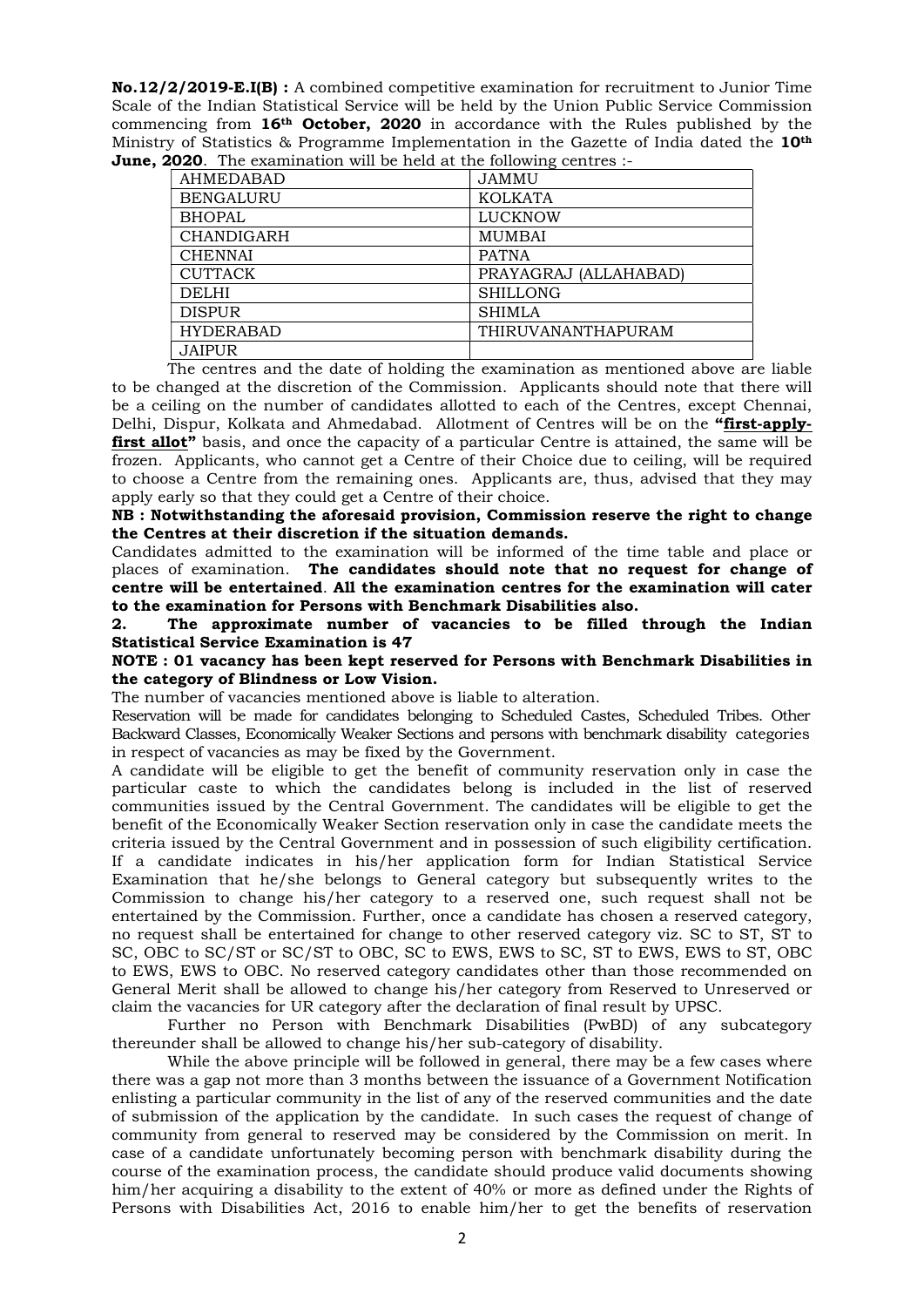No.12/2/2019-E.I(B) : A combined competitive examination for recruitment to Junior Time Scale of the Indian Statistical Service will be held by the Union Public Service Commission commencing from  $16<sup>th</sup>$  October, 2020 in accordance with the Rules published by the Ministry of Statistics & Programme Implementation in the Gazette of India dated the 10th **June, 2020**. The examination will be held at the following centres :-

| AHMEDABAD         | <b>JAMMU</b>          |
|-------------------|-----------------------|
| <b>BENGALURU</b>  | <b>KOLKATA</b>        |
| <b>BHOPAL</b>     | <b>LUCKNOW</b>        |
| <b>CHANDIGARH</b> | <b>MUMBAI</b>         |
| <b>CHENNAI</b>    | <b>PATNA</b>          |
| <b>CUTTACK</b>    | PRAYAGRAJ (ALLAHABAD) |
| <b>DELHI</b>      | <b>SHILLONG</b>       |
| <b>DISPUR</b>     | <b>SHIMLA</b>         |
| <b>HYDERABAD</b>  | THIRUVANANTHAPURAM    |
| <b>JAIPUR</b>     |                       |

The centres and the date of holding the examination as mentioned above are liable to be changed at the discretion of the Commission. Applicants should note that there will be a ceiling on the number of candidates allotted to each of the Centres, except Chennai, Delhi, Dispur, Kolkata and Ahmedabad. Allotment of Centres will be on the "first-applyfirst allot" basis, and once the capacity of a particular Centre is attained, the same will be frozen. Applicants, who cannot get a Centre of their Choice due to ceiling, will be required to choose a Centre from the remaining ones. Applicants are, thus, advised that they may apply early so that they could get a Centre of their choice.

NB : Notwithstanding the aforesaid provision, Commission reserve the right to change the Centres at their discretion if the situation demands.

Candidates admitted to the examination will be informed of the time table and place or places of examination. The candidates should note that no request for change of centre will be entertained. All the examination centres for the examination will cater to the examination for Persons with Benchmark Disabilities also.

2. The approximate number of vacancies to be filled through the Indian Statistical Service Examination is 47

NOTE : 01 vacancy has been kept reserved for Persons with Benchmark Disabilities in the category of Blindness or Low Vision.

The number of vacancies mentioned above is liable to alteration.

Reservation will be made for candidates belonging to Scheduled Castes, Scheduled Tribes. Other Backward Classes, Economically Weaker Sections and persons with benchmark disability categories in respect of vacancies as may be fixed by the Government.

A candidate will be eligible to get the benefit of community reservation only in case the particular caste to which the candidates belong is included in the list of reserved communities issued by the Central Government. The candidates will be eligible to get the benefit of the Economically Weaker Section reservation only in case the candidate meets the criteria issued by the Central Government and in possession of such eligibility certification. If a candidate indicates in his/her application form for Indian Statistical Service Examination that he/she belongs to General category but subsequently writes to the Commission to change his/her category to a reserved one, such request shall not be entertained by the Commission. Further, once a candidate has chosen a reserved category, no request shall be entertained for change to other reserved category viz. SC to ST, ST to SC, OBC to SC/ST or SC/ST to OBC, SC to EWS, EWS to SC, ST to EWS, EWS to ST, OBC to EWS, EWS to OBC. No reserved category candidates other than those recommended on General Merit shall be allowed to change his/her category from Reserved to Unreserved or claim the vacancies for UR category after the declaration of final result by UPSC.

 Further no Person with Benchmark Disabilities (PwBD) of any subcategory thereunder shall be allowed to change his/her sub-category of disability.

 While the above principle will be followed in general, there may be a few cases where there was a gap not more than 3 months between the issuance of a Government Notification enlisting a particular community in the list of any of the reserved communities and the date of submission of the application by the candidate. In such cases the request of change of community from general to reserved may be considered by the Commission on merit. In case of a candidate unfortunately becoming person with benchmark disability during the course of the examination process, the candidate should produce valid documents showing him/her acquiring a disability to the extent of 40% or more as defined under the Rights of Persons with Disabilities Act, 2016 to enable him/her to get the benefits of reservation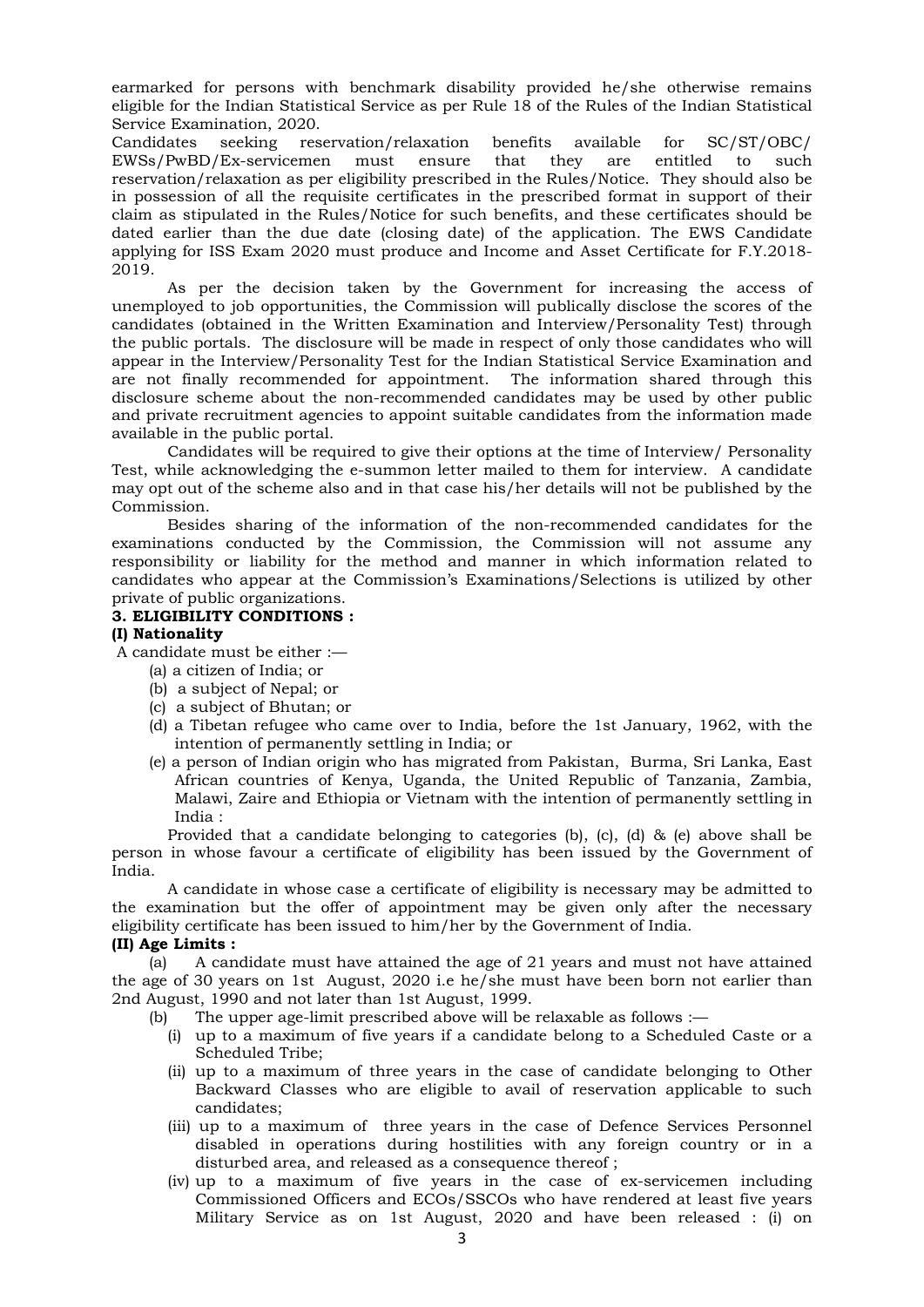earmarked for persons with benchmark disability provided he/she otherwise remains eligible for the Indian Statistical Service as per Rule 18 of the Rules of the Indian Statistical Service Examination, 2020.

Candidates seeking reservation/relaxation benefits available for SC/ST/OBC/ EWSs/PwBD/Ex-servicemen must ensure that they are entitled to such reservation/relaxation as per eligibility prescribed in the Rules/Notice. They should also be in possession of all the requisite certificates in the prescribed format in support of their claim as stipulated in the Rules/Notice for such benefits, and these certificates should be dated earlier than the due date (closing date) of the application. The EWS Candidate applying for ISS Exam 2020 must produce and Income and Asset Certificate for F.Y.2018- 2019.

As per the decision taken by the Government for increasing the access of unemployed to job opportunities, the Commission will publically disclose the scores of the candidates (obtained in the Written Examination and Interview/Personality Test) through the public portals. The disclosure will be made in respect of only those candidates who will appear in the Interview/Personality Test for the Indian Statistical Service Examination and are not finally recommended for appointment. The information shared through this disclosure scheme about the non-recommended candidates may be used by other public and private recruitment agencies to appoint suitable candidates from the information made available in the public portal.

 Candidates will be required to give their options at the time of Interview/ Personality Test, while acknowledging the e-summon letter mailed to them for interview. A candidate may opt out of the scheme also and in that case his/her details will not be published by the Commission.

 Besides sharing of the information of the non-recommended candidates for the examinations conducted by the Commission, the Commission will not assume any responsibility or liability for the method and manner in which information related to candidates who appear at the Commission's Examinations/Selections is utilized by other private of public organizations.

#### 3. ELIGIBILITY CONDITIONS :

#### (I) Nationality

A candidate must be either :—

- (a) a citizen of India; or
- (b) a subject of Nepal; or
- (c) a subject of Bhutan; or
- (d) a Tibetan refugee who came over to India, before the 1st January, 1962, with the intention of permanently settling in India; or
- (e) a person of Indian origin who has migrated from Pakistan, Burma, Sri Lanka, East African countries of Kenya, Uganda, the United Republic of Tanzania, Zambia, Malawi, Zaire and Ethiopia or Vietnam with the intention of permanently settling in India :

Provided that a candidate belonging to categories (b), (c), (d)  $\&$  (e) above shall be person in whose favour a certificate of eligibility has been issued by the Government of India.

 A candidate in whose case a certificate of eligibility is necessary may be admitted to the examination but the offer of appointment may be given only after the necessary eligibility certificate has been issued to him/her by the Government of India.

### (II) Age Limits :

 (a) A candidate must have attained the age of 21 years and must not have attained the age of 30 years on 1st August, 2020 i.e he/she must have been born not earlier than 2nd August, 1990 and not later than 1st August, 1999.

- (b) The upper age-limit prescribed above will be relaxable as follows :—
	- (i) up to a maximum of five years if a candidate belong to a Scheduled Caste or a Scheduled Tribe;
	- (ii) up to a maximum of three years in the case of candidate belonging to Other Backward Classes who are eligible to avail of reservation applicable to such candidates;
	- (iii) up to a maximum of three years in the case of Defence Services Personnel disabled in operations during hostilities with any foreign country or in a disturbed area, and released as a consequence thereof ;
	- (iv) up to a maximum of five years in the case of ex-servicemen including Commissioned Officers and ECOs/SSCOs who have rendered at least five years Military Service as on 1st August, 2020 and have been released : (i) on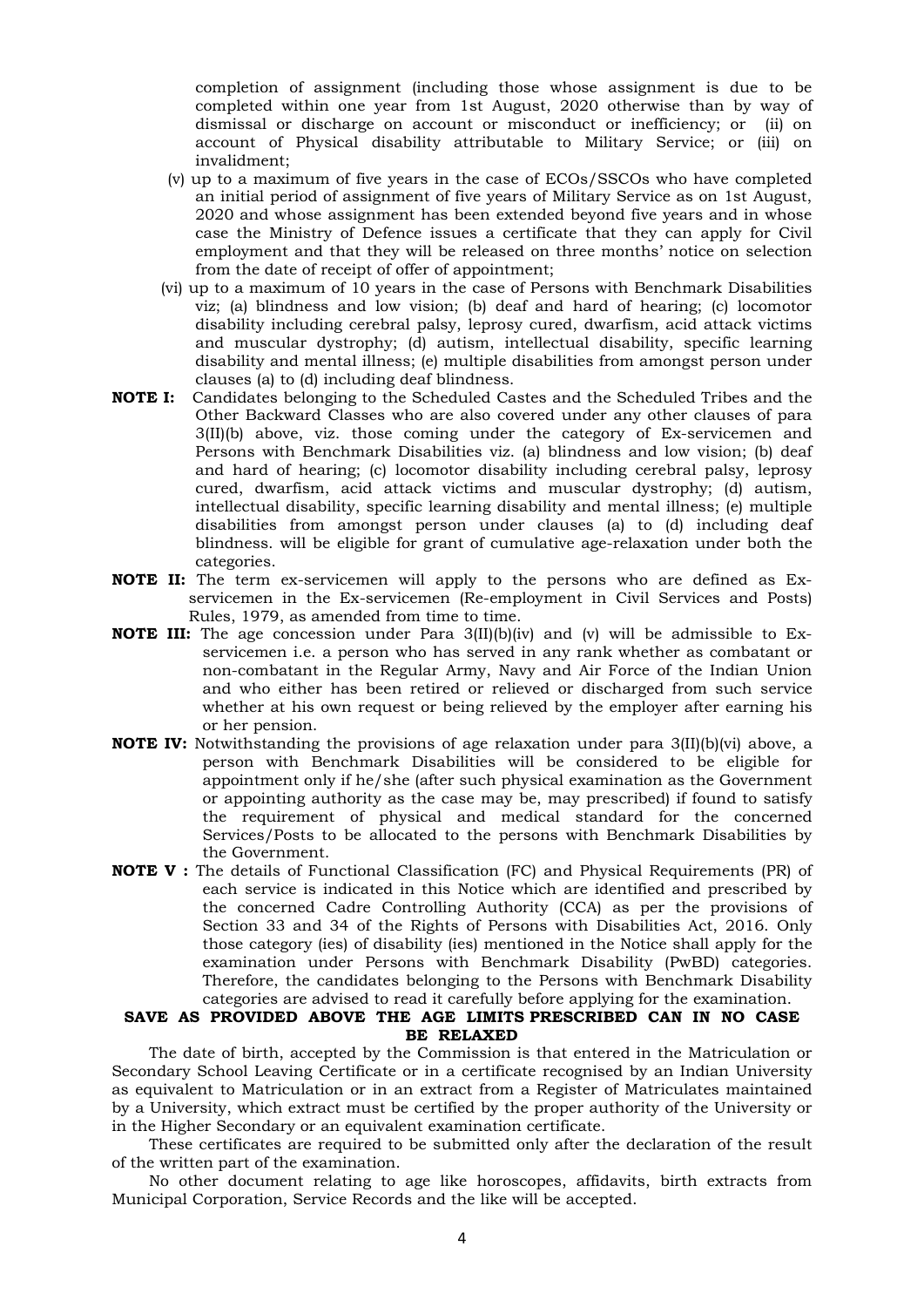completion of assignment (including those whose assignment is due to be completed within one year from 1st August, 2020 otherwise than by way of dismissal or discharge on account or misconduct or inefficiency; or (ii) on account of Physical disability attributable to Military Service; or (iii) on invalidment;

- (v) up to a maximum of five years in the case of ECOs/SSCOs who have completed an initial period of assignment of five years of Military Service as on 1st August, 2020 and whose assignment has been extended beyond five years and in whose case the Ministry of Defence issues a certificate that they can apply for Civil employment and that they will be released on three months' notice on selection from the date of receipt of offer of appointment;
- (vi) up to a maximum of 10 years in the case of Persons with Benchmark Disabilities viz; (a) blindness and low vision; (b) deaf and hard of hearing; (c) locomotor disability including cerebral palsy, leprosy cured, dwarfism, acid attack victims and muscular dystrophy; (d) autism, intellectual disability, specific learning disability and mental illness; (e) multiple disabilities from amongst person under clauses (a) to (d) including deaf blindness.
- NOTE I: Candidates belonging to the Scheduled Castes and the Scheduled Tribes and the Other Backward Classes who are also covered under any other clauses of para 3(II)(b) above, viz. those coming under the category of Ex-servicemen and Persons with Benchmark Disabilities viz. (a) blindness and low vision; (b) deaf and hard of hearing; (c) locomotor disability including cerebral palsy, leprosy cured, dwarfism, acid attack victims and muscular dystrophy; (d) autism, intellectual disability, specific learning disability and mental illness; (e) multiple disabilities from amongst person under clauses (a) to (d) including deaf blindness. will be eligible for grant of cumulative age-relaxation under both the categories.
- NOTE II: The term ex-servicemen will apply to the persons who are defined as Exservicemen in the Ex-servicemen (Re-employment in Civil Services and Posts) Rules, 1979, as amended from time to time.
- **NOTE III:** The age concession under Para  $3(II)(b)(iv)$  and  $(v)$  will be admissible to Exservicemen i.e. a person who has served in any rank whether as combatant or non-combatant in the Regular Army, Navy and Air Force of the Indian Union and who either has been retired or relieved or discharged from such service whether at his own request or being relieved by the employer after earning his or her pension.
- NOTE IV: Notwithstanding the provisions of age relaxation under para 3(II)(b)(vi) above, a person with Benchmark Disabilities will be considered to be eligible for appointment only if he/she (after such physical examination as the Government or appointing authority as the case may be, may prescribed) if found to satisfy the requirement of physical and medical standard for the concerned Services/Posts to be allocated to the persons with Benchmark Disabilities by the Government.
- NOTE V : The details of Functional Classification (FC) and Physical Requirements (PR) of each service is indicated in this Notice which are identified and prescribed by the concerned Cadre Controlling Authority (CCA) as per the provisions of Section 33 and 34 of the Rights of Persons with Disabilities Act, 2016. Only those category (ies) of disability (ies) mentioned in the Notice shall apply for the examination under Persons with Benchmark Disability (PwBD) categories. Therefore, the candidates belonging to the Persons with Benchmark Disability categories are advised to read it carefully before applying for the examination.

## SAVE AS PROVIDED ABOVE THE AGE LIMITS PRESCRIBED CAN IN NO CASE BE RELAXED

 The date of birth, accepted by the Commission is that entered in the Matriculation or Secondary School Leaving Certificate or in a certificate recognised by an Indian University as equivalent to Matriculation or in an extract from a Register of Matriculates maintained by a University, which extract must be certified by the proper authority of the University or in the Higher Secondary or an equivalent examination certificate.

 These certificates are required to be submitted only after the declaration of the result of the written part of the examination.

 No other document relating to age like horoscopes, affidavits, birth extracts from Municipal Corporation, Service Records and the like will be accepted.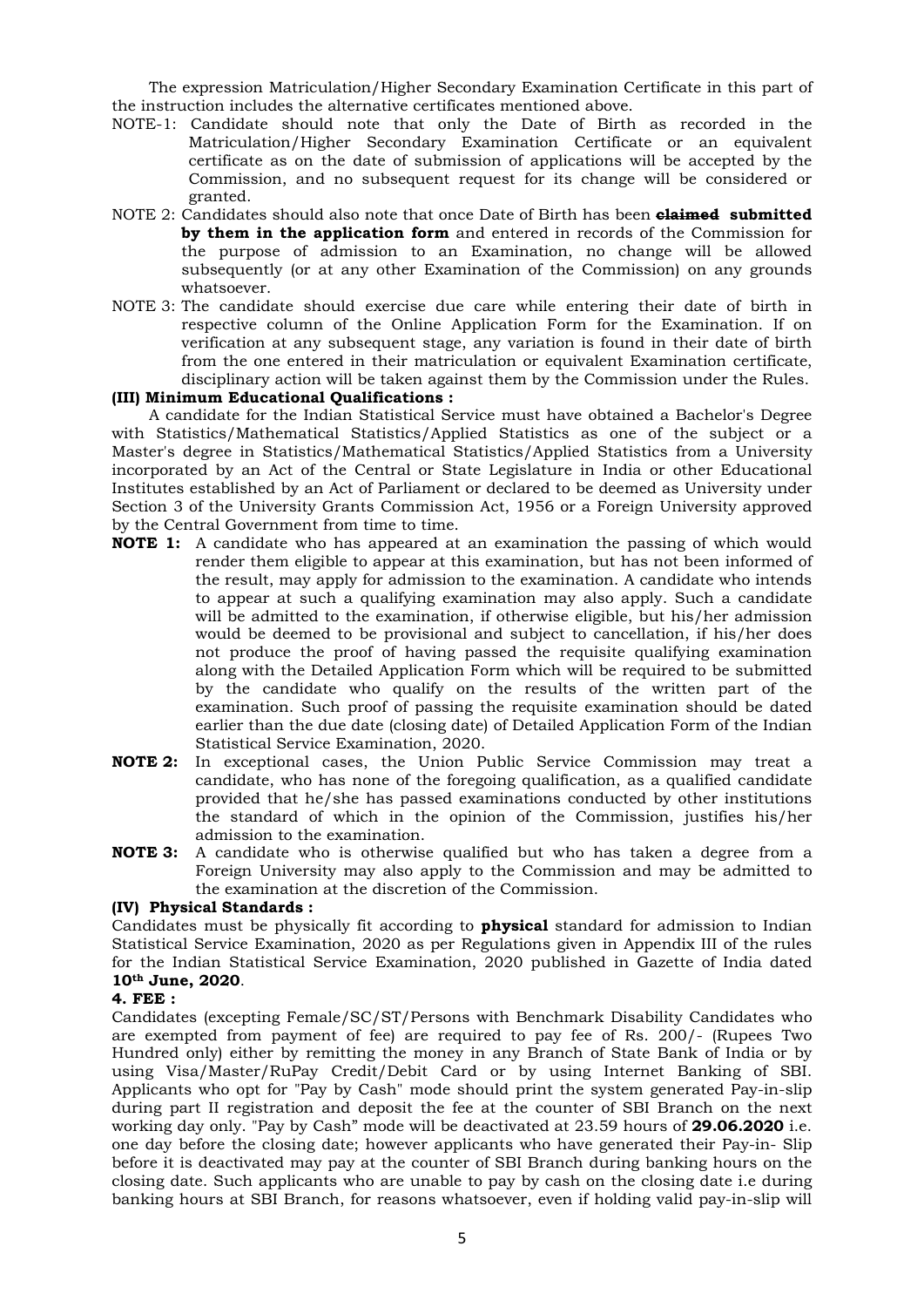The expression Matriculation/Higher Secondary Examination Certificate in this part of the instruction includes the alternative certificates mentioned above.

- NOTE-1: Candidate should note that only the Date of Birth as recorded in the Matriculation/Higher Secondary Examination Certificate or an equivalent certificate as on the date of submission of applications will be accepted by the Commission, and no subsequent request for its change will be considered or granted.
- NOTE 2: Candidates should also note that once Date of Birth has been **claimed submitted** by them in the application form and entered in records of the Commission for the purpose of admission to an Examination, no change will be allowed subsequently (or at any other Examination of the Commission) on any grounds whatsoever.
- NOTE 3: The candidate should exercise due care while entering their date of birth in respective column of the Online Application Form for the Examination. If on verification at any subsequent stage, any variation is found in their date of birth from the one entered in their matriculation or equivalent Examination certificate, disciplinary action will be taken against them by the Commission under the Rules.

# (III) Minimum Educational Qualifications :

 A candidate for the Indian Statistical Service must have obtained a Bachelor's Degree with Statistics/Mathematical Statistics/Applied Statistics as one of the subject or a Master's degree in Statistics/Mathematical Statistics/Applied Statistics from a University incorporated by an Act of the Central or State Legislature in India or other Educational Institutes established by an Act of Parliament or declared to be deemed as University under Section 3 of the University Grants Commission Act, 1956 or a Foreign University approved by the Central Government from time to time.

- NOTE 1: A candidate who has appeared at an examination the passing of which would render them eligible to appear at this examination, but has not been informed of the result, may apply for admission to the examination. A candidate who intends to appear at such a qualifying examination may also apply. Such a candidate will be admitted to the examination, if otherwise eligible, but his/her admission would be deemed to be provisional and subject to cancellation, if his/her does not produce the proof of having passed the requisite qualifying examination along with the Detailed Application Form which will be required to be submitted by the candidate who qualify on the results of the written part of the examination. Such proof of passing the requisite examination should be dated earlier than the due date (closing date) of Detailed Application Form of the Indian Statistical Service Examination, 2020.
- NOTE 2: In exceptional cases, the Union Public Service Commission may treat a candidate, who has none of the foregoing qualification, as a qualified candidate provided that he/she has passed examinations conducted by other institutions the standard of which in the opinion of the Commission, justifies his/her admission to the examination.
- NOTE 3: A candidate who is otherwise qualified but who has taken a degree from a Foreign University may also apply to the Commission and may be admitted to the examination at the discretion of the Commission.

### (IV) Physical Standards :

Candidates must be physically fit according to **physical** standard for admission to Indian Statistical Service Examination, 2020 as per Regulations given in Appendix III of the rules for the Indian Statistical Service Examination, 2020 published in Gazette of India dated 10th June, 2020.

### 4. FEE :

Candidates (excepting Female/SC/ST/Persons with Benchmark Disability Candidates who are exempted from payment of fee) are required to pay fee of Rs. 200/- (Rupees Two Hundred only) either by remitting the money in any Branch of State Bank of India or by using Visa/Master/RuPay Credit/Debit Card or by using Internet Banking of SBI. Applicants who opt for "Pay by Cash" mode should print the system generated Pay-in-slip during part II registration and deposit the fee at the counter of SBI Branch on the next working day only. "Pay by Cash" mode will be deactivated at 23.59 hours of **29.06.2020** i.e. one day before the closing date; however applicants who have generated their Pay-in- Slip before it is deactivated may pay at the counter of SBI Branch during banking hours on the closing date. Such applicants who are unable to pay by cash on the closing date i.e during banking hours at SBI Branch, for reasons whatsoever, even if holding valid pay-in-slip will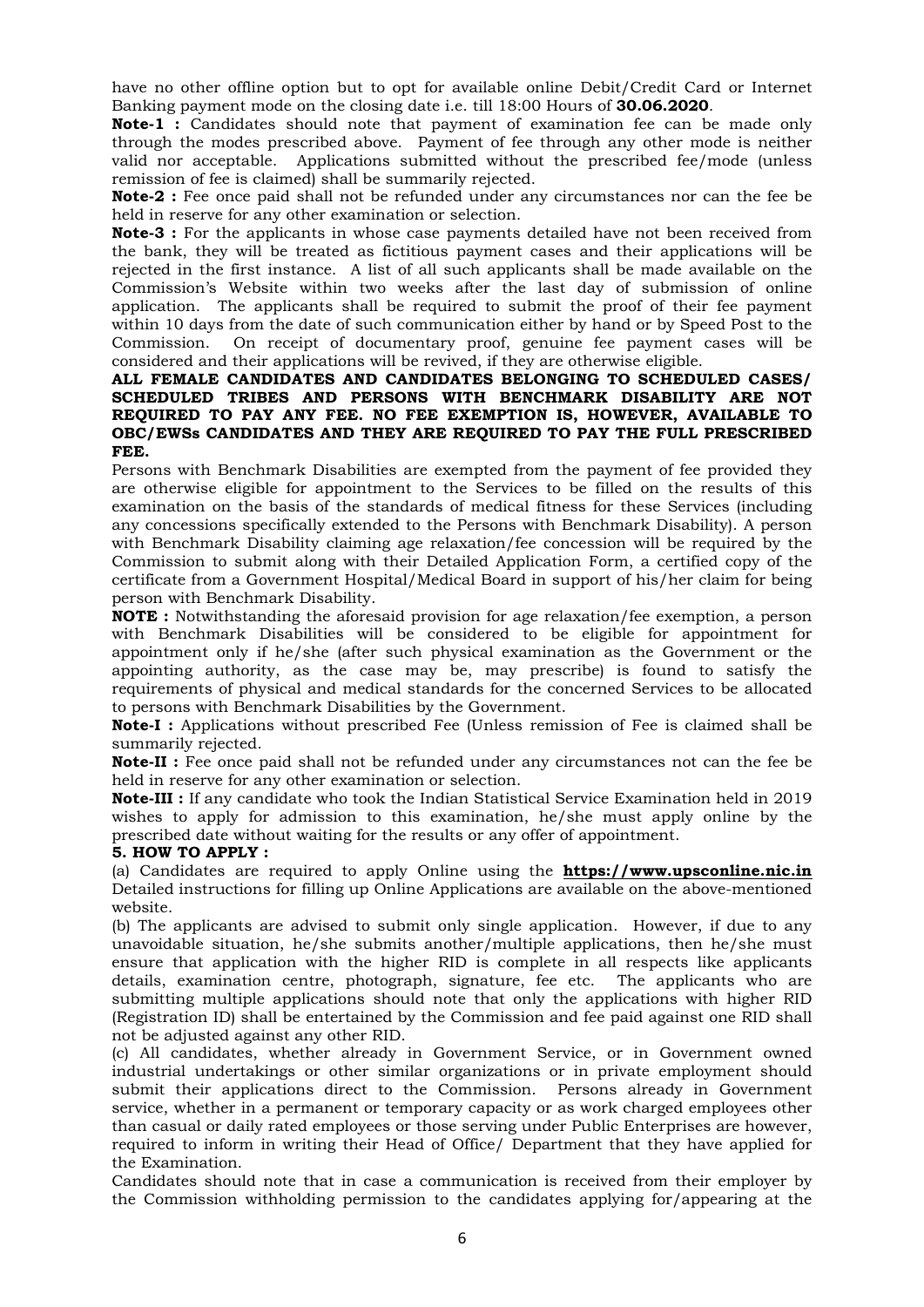have no other offline option but to opt for available online Debit/Credit Card or Internet Banking payment mode on the closing date i.e. till 18:00 Hours of 30.06.2020.

Note-1 : Candidates should note that payment of examination fee can be made only through the modes prescribed above. Payment of fee through any other mode is neither valid nor acceptable. Applications submitted without the prescribed fee/mode (unless remission of fee is claimed) shall be summarily rejected.

Note-2 : Fee once paid shall not be refunded under any circumstances nor can the fee be held in reserve for any other examination or selection.

**Note-3**: For the applicants in whose case payments detailed have not been received from the bank, they will be treated as fictitious payment cases and their applications will be rejected in the first instance. A list of all such applicants shall be made available on the Commission's Website within two weeks after the last day of submission of online application. The applicants shall be required to submit the proof of their fee payment within 10 days from the date of such communication either by hand or by Speed Post to the Commission. On receipt of documentary proof, genuine fee payment cases will be considered and their applications will be revived, if they are otherwise eligible.

### ALL FEMALE CANDIDATES AND CANDIDATES BELONGING TO SCHEDULED CASES/ SCHEDULED TRIBES AND PERSONS WITH BENCHMARK DISABILITY ARE NOT REQUIRED TO PAY ANY FEE. NO FEE EXEMPTION IS, HOWEVER, AVAILABLE TO OBC/EWSs CANDIDATES AND THEY ARE REQUIRED TO PAY THE FULL PRESCRIBED FEE.

Persons with Benchmark Disabilities are exempted from the payment of fee provided they are otherwise eligible for appointment to the Services to be filled on the results of this examination on the basis of the standards of medical fitness for these Services (including any concessions specifically extended to the Persons with Benchmark Disability). A person with Benchmark Disability claiming age relaxation/fee concession will be required by the Commission to submit along with their Detailed Application Form, a certified copy of the certificate from a Government Hospital/Medical Board in support of his/her claim for being person with Benchmark Disability.

NOTE : Notwithstanding the aforesaid provision for age relaxation/fee exemption, a person with Benchmark Disabilities will be considered to be eligible for appointment for appointment only if he/she (after such physical examination as the Government or the appointing authority, as the case may be, may prescribe) is found to satisfy the requirements of physical and medical standards for the concerned Services to be allocated to persons with Benchmark Disabilities by the Government.

Note-I : Applications without prescribed Fee (Unless remission of Fee is claimed shall be summarily rejected.

Note-II : Fee once paid shall not be refunded under any circumstances not can the fee be held in reserve for any other examination or selection.

Note-III : If any candidate who took the Indian Statistical Service Examination held in 2019 wishes to apply for admission to this examination, he/she must apply online by the prescribed date without waiting for the results or any offer of appointment.

### 5. HOW TO APPLY :

(a) Candidates are required to apply Online using the  $https://www.upsconline.nic.in$ Detailed instructions for filling up Online Applications are available on the above-mentioned website.

(b) The applicants are advised to submit only single application. However, if due to any unavoidable situation, he/she submits another/multiple applications, then he/she must ensure that application with the higher RID is complete in all respects like applicants details, examination centre, photograph, signature, fee etc. The applicants who are submitting multiple applications should note that only the applications with higher RID (Registration ID) shall be entertained by the Commission and fee paid against one RID shall not be adjusted against any other RID.

(c) All candidates, whether already in Government Service, or in Government owned industrial undertakings or other similar organizations or in private employment should submit their applications direct to the Commission. Persons already in Government service, whether in a permanent or temporary capacity or as work charged employees other than casual or daily rated employees or those serving under Public Enterprises are however, required to inform in writing their Head of Office/ Department that they have applied for the Examination.

Candidates should note that in case a communication is received from their employer by the Commission withholding permission to the candidates applying for/appearing at the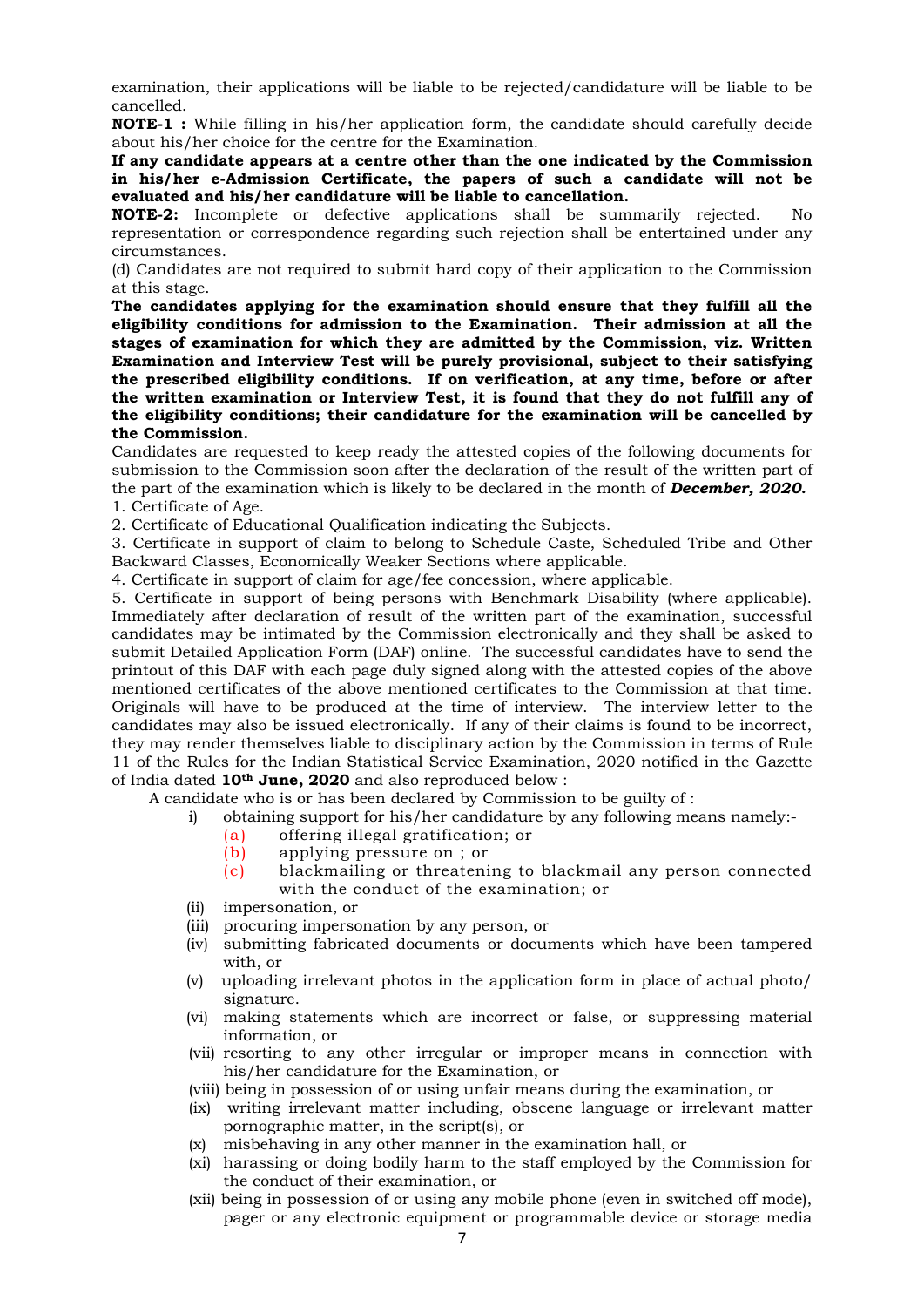examination, their applications will be liable to be rejected/candidature will be liable to be cancelled.

NOTE-1 : While filling in his/her application form, the candidate should carefully decide about his/her choice for the centre for the Examination.

If any candidate appears at a centre other than the one indicated by the Commission in his/her e-Admission Certificate, the papers of such a candidate will not be evaluated and his/her candidature will be liable to cancellation.

NOTE-2: Incomplete or defective applications shall be summarily rejected. No representation or correspondence regarding such rejection shall be entertained under any circumstances.

(d) Candidates are not required to submit hard copy of their application to the Commission at this stage.

The candidates applying for the examination should ensure that they fulfill all the eligibility conditions for admission to the Examination. Their admission at all the stages of examination for which they are admitted by the Commission, viz. Written Examination and Interview Test will be purely provisional, subject to their satisfying the prescribed eligibility conditions. If on verification, at any time, before or after the written examination or Interview Test, it is found that they do not fulfill any of the eligibility conditions; their candidature for the examination will be cancelled by the Commission.

Candidates are requested to keep ready the attested copies of the following documents for submission to the Commission soon after the declaration of the result of the written part of the part of the examination which is likely to be declared in the month of **December, 2020.** 1. Certificate of Age.

2. Certificate of Educational Qualification indicating the Subjects.

3. Certificate in support of claim to belong to Schedule Caste, Scheduled Tribe and Other Backward Classes, Economically Weaker Sections where applicable.

4. Certificate in support of claim for age/fee concession, where applicable.

5. Certificate in support of being persons with Benchmark Disability (where applicable). Immediately after declaration of result of the written part of the examination, successful candidates may be intimated by the Commission electronically and they shall be asked to submit Detailed Application Form (DAF) online. The successful candidates have to send the printout of this DAF with each page duly signed along with the attested copies of the above mentioned certificates of the above mentioned certificates to the Commission at that time. Originals will have to be produced at the time of interview. The interview letter to the candidates may also be issued electronically. If any of their claims is found to be incorrect, they may render themselves liable to disciplinary action by the Commission in terms of Rule 11 of the Rules for the Indian Statistical Service Examination, 2020 notified in the Gazette of India dated 10th June, 2020 and also reproduced below :

A candidate who is or has been declared by Commission to be guilty of :

- i) obtaining support for his/her candidature by any following means namely:-
	- (a) offering illegal gratification; or
	- (b) applying pressure on ; or
	- (c) blackmailing or threatening to blackmail any person connected with the conduct of the examination; or
- (ii) impersonation, or
- (iii) procuring impersonation by any person, or
- (iv) submitting fabricated documents or documents which have been tampered with, or
- (v) uploading irrelevant photos in the application form in place of actual photo/ signature.
- (vi) making statements which are incorrect or false, or suppressing material information, or
- (vii) resorting to any other irregular or improper means in connection with his/her candidature for the Examination, or
- (viii) being in possession of or using unfair means during the examination, or
- (ix) writing irrelevant matter including, obscene language or irrelevant matter pornographic matter, in the script(s), or
- (x) misbehaving in any other manner in the examination hall, or
- (xi) harassing or doing bodily harm to the staff employed by the Commission for the conduct of their examination, or
- (xii) being in possession of or using any mobile phone (even in switched off mode), pager or any electronic equipment or programmable device or storage media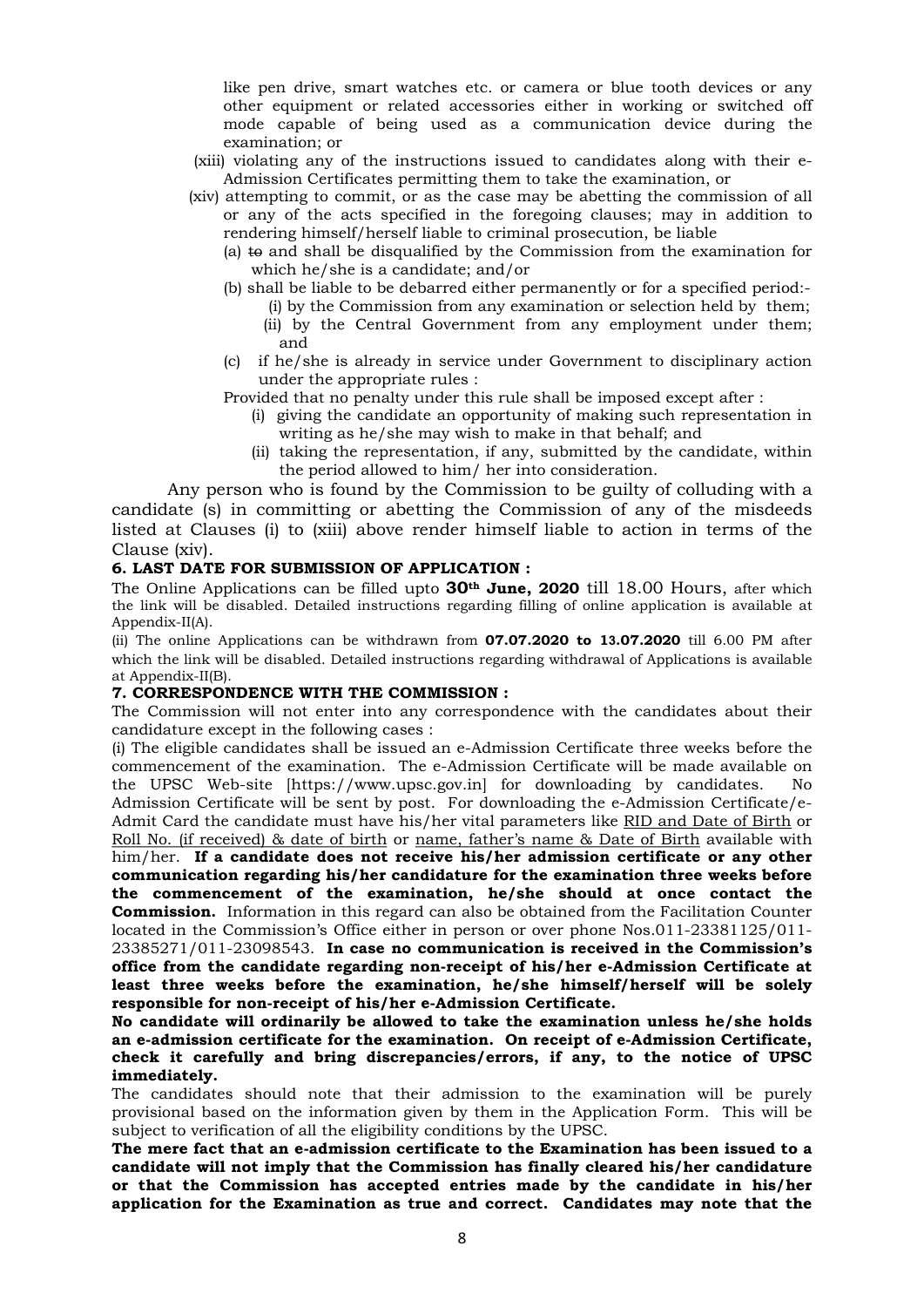like pen drive, smart watches etc. or camera or blue tooth devices or any other equipment or related accessories either in working or switched off mode capable of being used as a communication device during the examination; or

- (xiii) violating any of the instructions issued to candidates along with their e-Admission Certificates permitting them to take the examination, or
- (xiv) attempting to commit, or as the case may be abetting the commission of all or any of the acts specified in the foregoing clauses; may in addition to rendering himself/herself liable to criminal prosecution, be liable
	- (a) to and shall be disqualified by the Commission from the examination for which he/she is a candidate; and/or
	- (b) shall be liable to be debarred either permanently or for a specified period:-
		- (i) by the Commission from any examination or selection held by them; (ii) by the Central Government from any employment under them; and
	- (c) if he/she is already in service under Government to disciplinary action under the appropriate rules :

Provided that no penalty under this rule shall be imposed except after :

- (i) giving the candidate an opportunity of making such representation in writing as he/she may wish to make in that behalf; and
- (ii) taking the representation, if any, submitted by the candidate, within the period allowed to him/ her into consideration.

 Any person who is found by the Commission to be guilty of colluding with a candidate (s) in committing or abetting the Commission of any of the misdeeds listed at Clauses (i) to (xiii) above render himself liable to action in terms of the Clause (xiv).

## 6. LAST DATE FOR SUBMISSION OF APPLICATION :

The Online Applications can be filled upto  $30<sup>th</sup>$  June, 2020 till 18.00 Hours, after which the link will be disabled. Detailed instructions regarding filling of online application is available at Appendix-II(A).

(ii) The online Applications can be withdrawn from 07.07.2020 to 13.07.2020 till 6.00 PM after which the link will be disabled. Detailed instructions regarding withdrawal of Applications is available at Appendix-II(B).

# 7. CORRESPONDENCE WITH THE COMMISSION :

The Commission will not enter into any correspondence with the candidates about their candidature except in the following cases :

(i) The eligible candidates shall be issued an e-Admission Certificate three weeks before the commencement of the examination. The e-Admission Certificate will be made available on the UPSC Web-site [https://www.upsc.gov.in] for downloading by candidates. No Admission Certificate will be sent by post. For downloading the e-Admission Certificate/e-Admit Card the candidate must have his/her vital parameters like RID and Date of Birth or Roll No. (if received) & date of birth or name, father's name & Date of Birth available with him/her. If a candidate does not receive his/her admission certificate or any other communication regarding his/her candidature for the examination three weeks before the commencement of the examination, he/she should at once contact the **Commission.** Information in this regard can also be obtained from the Facilitation Counter located in the Commission's Office either in person or over phone Nos.011-23381125/011- 23385271/011-23098543. In case no communication is received in the Commission's office from the candidate regarding non-receipt of his/her e-Admission Certificate at least three weeks before the examination, he/she himself/herself will be solely responsible for non-receipt of his/her e-Admission Certificate.

No candidate will ordinarily be allowed to take the examination unless he/she holds an e-admission certificate for the examination. On receipt of e-Admission Certificate, check it carefully and bring discrepancies/errors, if any, to the notice of UPSC immediately.

The candidates should note that their admission to the examination will be purely provisional based on the information given by them in the Application Form. This will be subject to verification of all the eligibility conditions by the UPSC.

The mere fact that an e-admission certificate to the Examination has been issued to a candidate will not imply that the Commission has finally cleared his/her candidature or that the Commission has accepted entries made by the candidate in his/her application for the Examination as true and correct. Candidates may note that the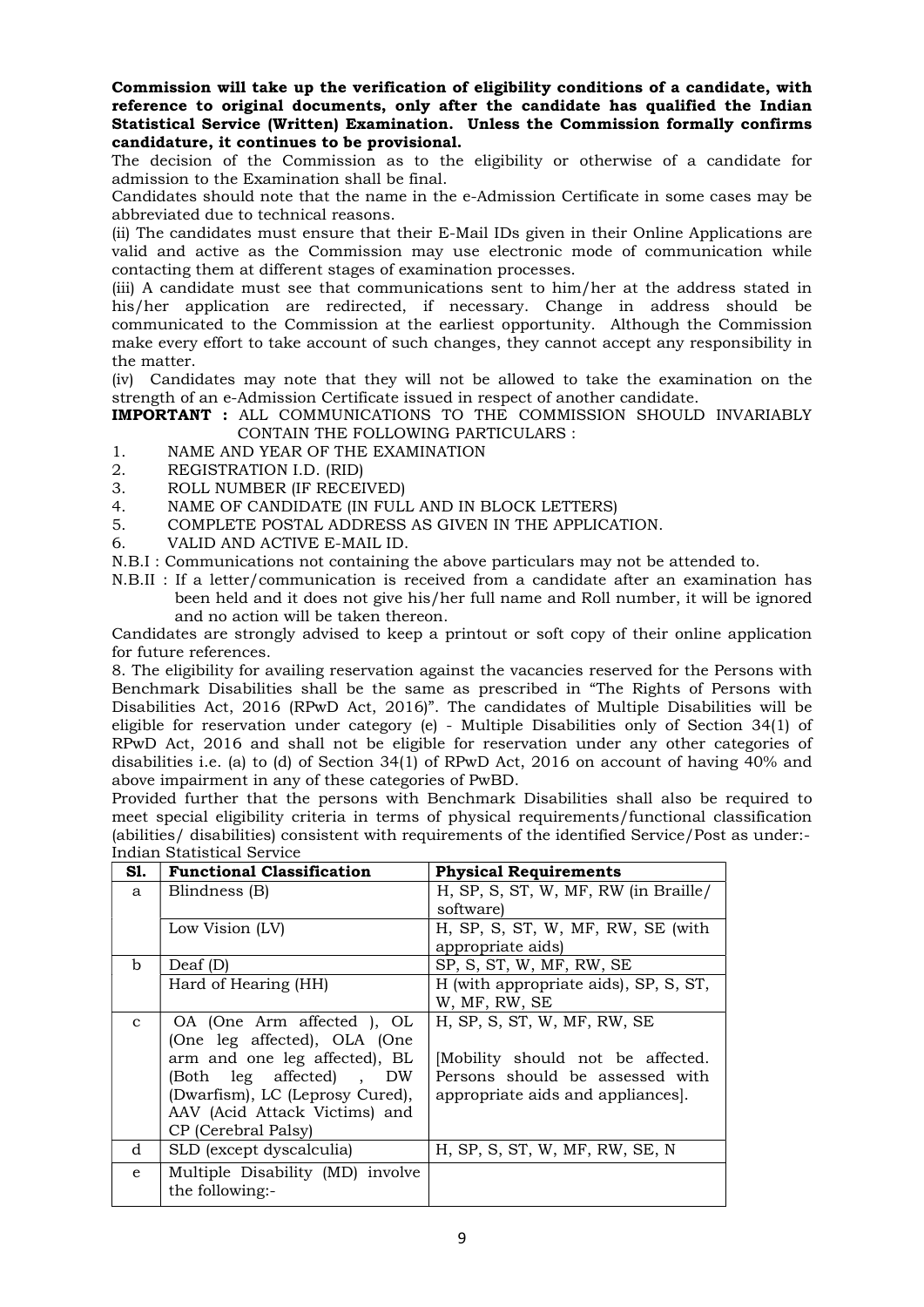Commission will take up the verification of eligibility conditions of a candidate, with reference to original documents, only after the candidate has qualified the Indian Statistical Service (Written) Examination. Unless the Commission formally confirms candidature, it continues to be provisional.

The decision of the Commission as to the eligibility or otherwise of a candidate for admission to the Examination shall be final.

Candidates should note that the name in the e-Admission Certificate in some cases may be abbreviated due to technical reasons.

(ii) The candidates must ensure that their E-Mail IDs given in their Online Applications are valid and active as the Commission may use electronic mode of communication while contacting them at different stages of examination processes.

(iii) A candidate must see that communications sent to him/her at the address stated in his/her application are redirected, if necessary. Change in address should be communicated to the Commission at the earliest opportunity. Although the Commission make every effort to take account of such changes, they cannot accept any responsibility in the matter.

(iv) Candidates may note that they will not be allowed to take the examination on the strength of an e-Admission Certificate issued in respect of another candidate.

IMPORTANT : ALL COMMUNICATIONS TO THE COMMISSION SHOULD INVARIABLY CONTAIN THE FOLLOWING PARTICULARS :

- 1. NAME AND YEAR OF THE EXAMINATION
- 2. REGISTRATION I.D. (RID)
- 3. ROLL NUMBER (IF RECEIVED)
- 4. NAME OF CANDIDATE (IN FULL AND IN BLOCK LETTERS)
- 5. COMPLETE POSTAL ADDRESS AS GIVEN IN THE APPLICATION.
- 6. VALID AND ACTIVE E-MAIL ID.
- N.B.I : Communications not containing the above particulars may not be attended to.
- N.B.II : If a letter/communication is received from a candidate after an examination has been held and it does not give his/her full name and Roll number, it will be ignored and no action will be taken thereon.

Candidates are strongly advised to keep a printout or soft copy of their online application for future references.

8. The eligibility for availing reservation against the vacancies reserved for the Persons with Benchmark Disabilities shall be the same as prescribed in "The Rights of Persons with Disabilities Act, 2016 (RPwD Act, 2016)". The candidates of Multiple Disabilities will be eligible for reservation under category (e) - Multiple Disabilities only of Section 34(1) of RPwD Act, 2016 and shall not be eligible for reservation under any other categories of disabilities i.e. (a) to (d) of Section 34(1) of RPwD Act, 2016 on account of having 40% and above impairment in any of these categories of PwBD.

Provided further that the persons with Benchmark Disabilities shall also be required to meet special eligibility criteria in terms of physical requirements/functional classification (abilities/ disabilities) consistent with requirements of the identified Service/Post as under:- Indian Statistical Service

| S1.          | <b>Functional Classification</b>                    | <b>Physical Requirements</b>          |
|--------------|-----------------------------------------------------|---------------------------------------|
| a            | Blindness (B)                                       | H, SP, S, ST, W, MF, RW (in Braille/  |
|              |                                                     | software)                             |
|              | Low Vision (LV)                                     | H, SP, S, ST, W, MF, RW, SE (with     |
|              |                                                     | appropriate aids)                     |
| b            | Deaf (D)                                            | SP, S, ST, W, MF, RW, SE              |
|              | Hard of Hearing (HH)                                | H (with appropriate aids), SP, S, ST, |
|              |                                                     | W, MF, RW, SE                         |
| $\mathbf{C}$ | OA (One Arm affected ), OL                          | H, SP, S, ST, W, MF, RW, SE           |
|              | (One leg affected), OLA (One                        |                                       |
|              | arm and one leg affected), BL                       | Mobility should not be affected.      |
|              | (Both leg affected), DW                             | Persons should be assessed with       |
|              | (Dwarfism), LC (Leprosy Cured),                     | appropriate aids and appliances.      |
|              | AAV (Acid Attack Victims) and                       |                                       |
|              | CP (Cerebral Palsy)                                 |                                       |
| d            | SLD (except dyscalculia)                            | H, SP, S, ST, W, MF, RW, SE, N        |
| e            | Multiple Disability (MD) involve<br>the following:- |                                       |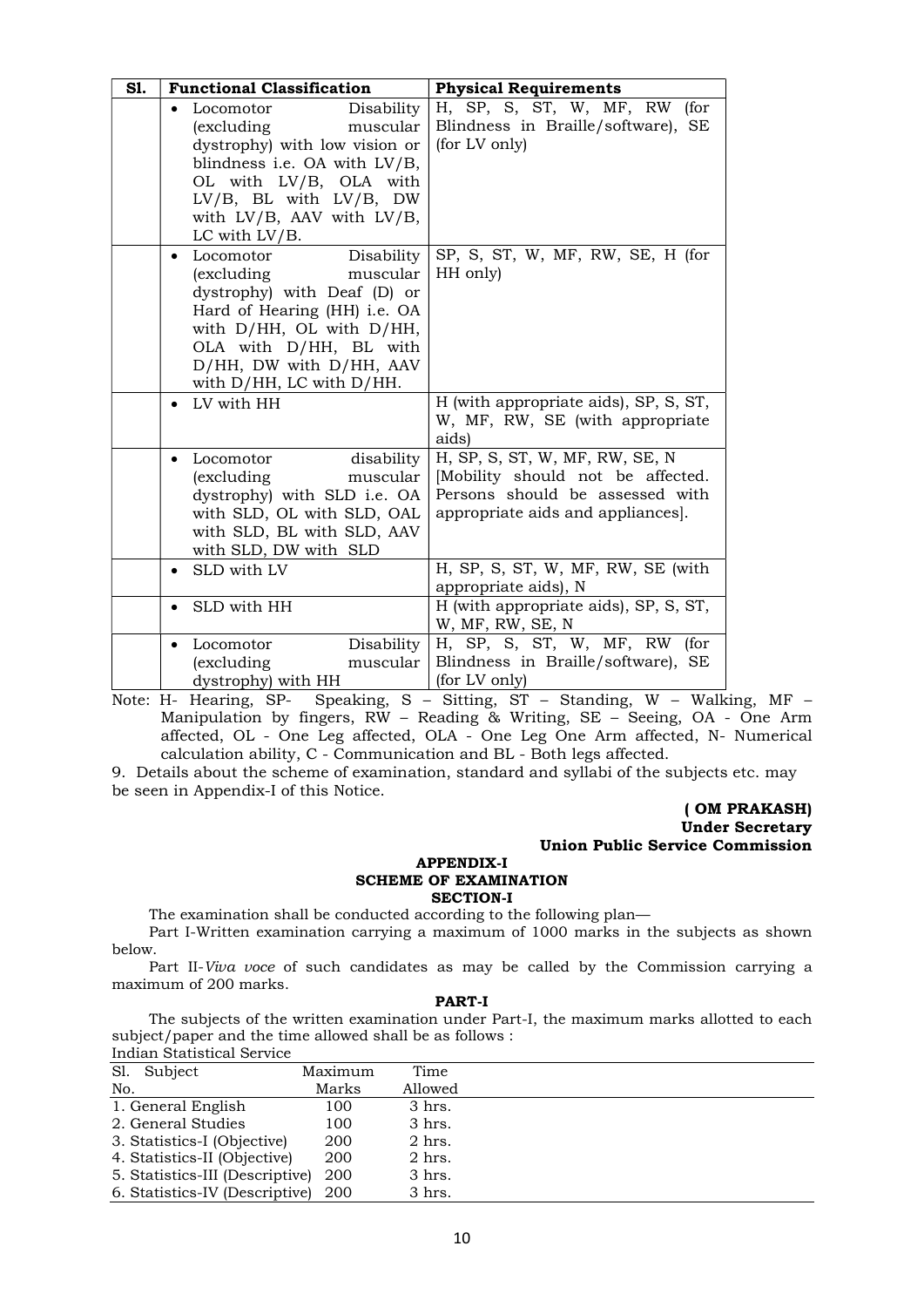| S1. | <b>Functional Classification</b>                                                                                                                                                                                                      | <b>Physical Requirements</b>                                                                                                               |  |  |  |  |  |  |
|-----|---------------------------------------------------------------------------------------------------------------------------------------------------------------------------------------------------------------------------------------|--------------------------------------------------------------------------------------------------------------------------------------------|--|--|--|--|--|--|
|     | Disability<br>Locomotor<br>(excluding<br>muscular<br>dystrophy) with low vision or<br>blindness i.e. OA with LV/B,<br>OL with LV/B, OLA with<br>LV/B, BL with LV/B, DW<br>with LV/B, AAV with LV/B,<br>LC with LV/B.                  | H, SP, S, ST, W, MF, RW (for<br>Blindness in Braille/software), SE<br>(for LV only)                                                        |  |  |  |  |  |  |
|     | Locomotor<br>Disability<br><i>(excluding)</i><br>muscular<br>dystrophy) with Deaf (D) or<br>Hard of Hearing (HH) i.e. OA<br>with D/HH, OL with D/HH,<br>OLA with D/HH, BL with<br>D/HH, DW with D/HH, AAV<br>with D/HH, LC with D/HH. | SP, S, ST, W, MF, RW, SE, H (for<br>HH only)                                                                                               |  |  |  |  |  |  |
|     | LV with HH                                                                                                                                                                                                                            | H (with appropriate aids), SP, S, ST,<br>W, MF, RW, SE (with appropriate<br>aids)                                                          |  |  |  |  |  |  |
|     | disability<br>Locomotor<br>(excluding)<br>muscular<br>dystrophy) with SLD i.e. OA<br>with SLD, OL with SLD, OAL<br>with SLD, BL with SLD, AAV<br>with SLD, DW with SLD                                                                | H, SP, S, ST, W, MF, RW, SE, N<br>[Mobility should not be affected.<br>Persons should be assessed with<br>appropriate aids and appliances. |  |  |  |  |  |  |
|     | SLD with LV                                                                                                                                                                                                                           | H, SP, S, ST, W, MF, RW, SE (with<br>appropriate aids), N                                                                                  |  |  |  |  |  |  |
|     | SLD with HH                                                                                                                                                                                                                           | H (with appropriate aids), SP, S, ST,<br>W, MF, RW, SE, N                                                                                  |  |  |  |  |  |  |
|     | Disability<br>Locomotor<br>(excluding<br>muscular<br>dystrophy) with HH                                                                                                                                                               | H, SP, S, ST, W, MF, RW (for<br>Blindness in Braille/software), SE<br>(for LV only)                                                        |  |  |  |  |  |  |

Note: H- Hearing, SP- Speaking, S – Sitting, ST – Standing, W – Walking, MF – Manipulation by fingers, RW – Reading & Writing, SE – Seeing, OA - One Arm affected, OL - One Leg affected, OLA - One Leg One Arm affected, N- Numerical calculation ability, C - Communication and BL - Both legs affected.

9. Details about the scheme of examination, standard and syllabi of the subjects etc. may be seen in Appendix-I of this Notice.

#### ( OM PRAKASH) Under Secretary Union Public Service Commission

#### APPENDIX-I SCHEME OF EXAMINATION SECTION-I

The examination shall be conducted according to the following plan—

 Part I-Written examination carrying a maximum of 1000 marks in the subjects as shown below.

Part II-Viva voce of such candidates as may be called by the Commission carrying a maximum of 200 marks.

#### PART-I

 The subjects of the written examination under Part-I, the maximum marks allotted to each subject/paper and the time allowed shall be as follows :

| Indian Statistical Service      |         |          |  |
|---------------------------------|---------|----------|--|
| Sl. Subject                     | Maximum | Time     |  |
| No.                             | Marks   | Allowed  |  |
| 1. General English              | 100     | 3 hrs.   |  |
| 2. General Studies              | 100     | 3 hrs.   |  |
| 3. Statistics-I (Objective)     | 200     | 2 hrs.   |  |
| 4. Statistics-II (Objective)    | 200     | $2$ hrs. |  |
| 5. Statistics-III (Descriptive) | 200     | 3 hrs.   |  |
| 6. Statistics-IV (Descriptive)  | 200     | 3 hrs.   |  |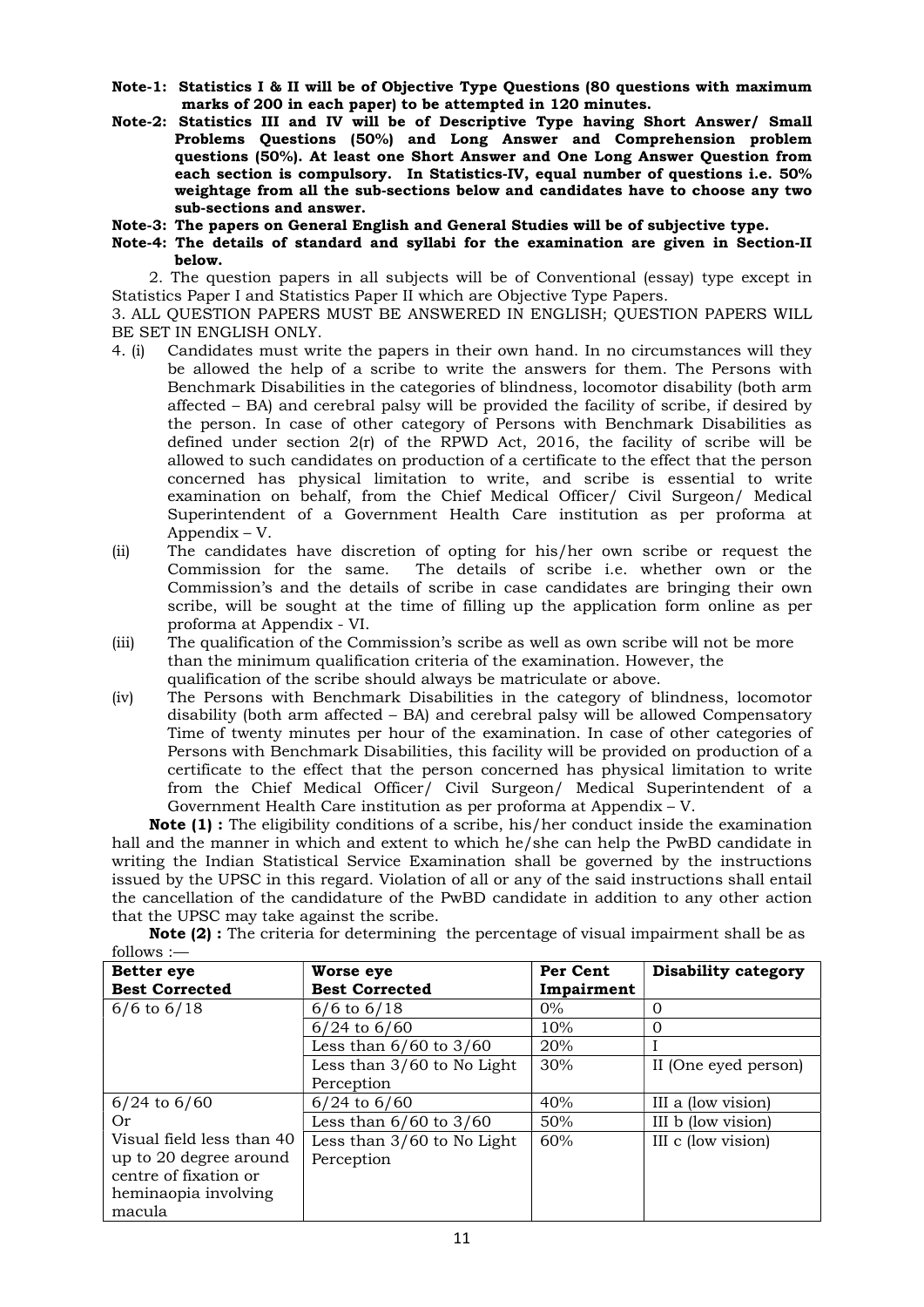- Note-1: Statistics I & II will be of Objective Type Questions (80 questions with maximum marks of 200 in each paper) to be attempted in 120 minutes.
- Note-2: Statistics III and IV will be of Descriptive Type having Short Answer/ Small Problems Questions (50%) and Long Answer and Comprehension problem questions (50%). At least one Short Answer and One Long Answer Question from each section is compulsory. In Statistics-IV, equal number of questions i.e. 50% weightage from all the sub-sections below and candidates have to choose any two sub-sections and answer.
- Note-3: The papers on General English and General Studies will be of subjective type.
- Note-4: The details of standard and syllabi for the examination are given in Section-II below.

 2. The question papers in all subjects will be of Conventional (essay) type except in Statistics Paper I and Statistics Paper II which are Objective Type Papers.

3. ALL QUESTION PAPERS MUST BE ANSWERED IN ENGLISH; QUESTION PAPERS WILL BE SET IN ENGLISH ONLY.

- 4. (i) Candidates must write the papers in their own hand. In no circumstances will they be allowed the help of a scribe to write the answers for them. The Persons with Benchmark Disabilities in the categories of blindness, locomotor disability (both arm affected – BA) and cerebral palsy will be provided the facility of scribe, if desired by the person. In case of other category of Persons with Benchmark Disabilities as defined under section 2(r) of the RPWD Act, 2016, the facility of scribe will be allowed to such candidates on production of a certificate to the effect that the person concerned has physical limitation to write, and scribe is essential to write examination on behalf, from the Chief Medical Officer/ Civil Surgeon/ Medical Superintendent of a Government Health Care institution as per proforma at Appendix – V.
- (ii) The candidates have discretion of opting for his/her own scribe or request the Commission for the same. The details of scribe i.e. whether own or the Commission's and the details of scribe in case candidates are bringing their own scribe, will be sought at the time of filling up the application form online as per proforma at Appendix - VI.
- (iii) The qualification of the Commission's scribe as well as own scribe will not be more than the minimum qualification criteria of the examination. However, the qualification of the scribe should always be matriculate or above.
- (iv) The Persons with Benchmark Disabilities in the category of blindness, locomotor disability (both arm affected – BA) and cerebral palsy will be allowed Compensatory Time of twenty minutes per hour of the examination. In case of other categories of Persons with Benchmark Disabilities, this facility will be provided on production of a certificate to the effect that the person concerned has physical limitation to write from the Chief Medical Officer/ Civil Surgeon/ Medical Superintendent of a Government Health Care institution as per proforma at Appendix – V.

Note (1) : The eligibility conditions of a scribe, his/her conduct inside the examination hall and the manner in which and extent to which he/she can help the PwBD candidate in writing the Indian Statistical Service Examination shall be governed by the instructions issued by the UPSC in this regard. Violation of all or any of the said instructions shall entail the cancellation of the candidature of the PwBD candidate in addition to any other action that the UPSC may take against the scribe.

Note (2) : The criteria for determining the percentage of visual impairment shall be as follows :—

| <b>Better</b> eye         | Worse eye                    | Per Cent   | Disability category  |  |  |  |
|---------------------------|------------------------------|------------|----------------------|--|--|--|
| <b>Best Corrected</b>     | <b>Best Corrected</b>        | Impairment |                      |  |  |  |
| $6/6$ to $6/18$           | $6/6$ to $6/18$              | $0\%$      | 0                    |  |  |  |
|                           | $6/24$ to $6/60$             | 10%        | $\Omega$             |  |  |  |
|                           | Less than $6/60$ to $3/60$   | 20%        |                      |  |  |  |
|                           | Less than $3/60$ to No Light | 30%        | II (One eyed person) |  |  |  |
|                           | Perception                   |            |                      |  |  |  |
| $6/24$ to $6/60$          | $6/24$ to $6/60$             | 40%        | III a (low vision)   |  |  |  |
| 0r                        | Less than $6/60$ to $3/60$   | 50%        | III b (low vision)   |  |  |  |
| Visual field less than 40 | Less than 3/60 to No Light   | 60%        | III c (low vision)   |  |  |  |
| up to 20 degree around    | Perception                   |            |                      |  |  |  |
| centre of fixation or     |                              |            |                      |  |  |  |
| heminaopia involving      |                              |            |                      |  |  |  |
| macula                    |                              |            |                      |  |  |  |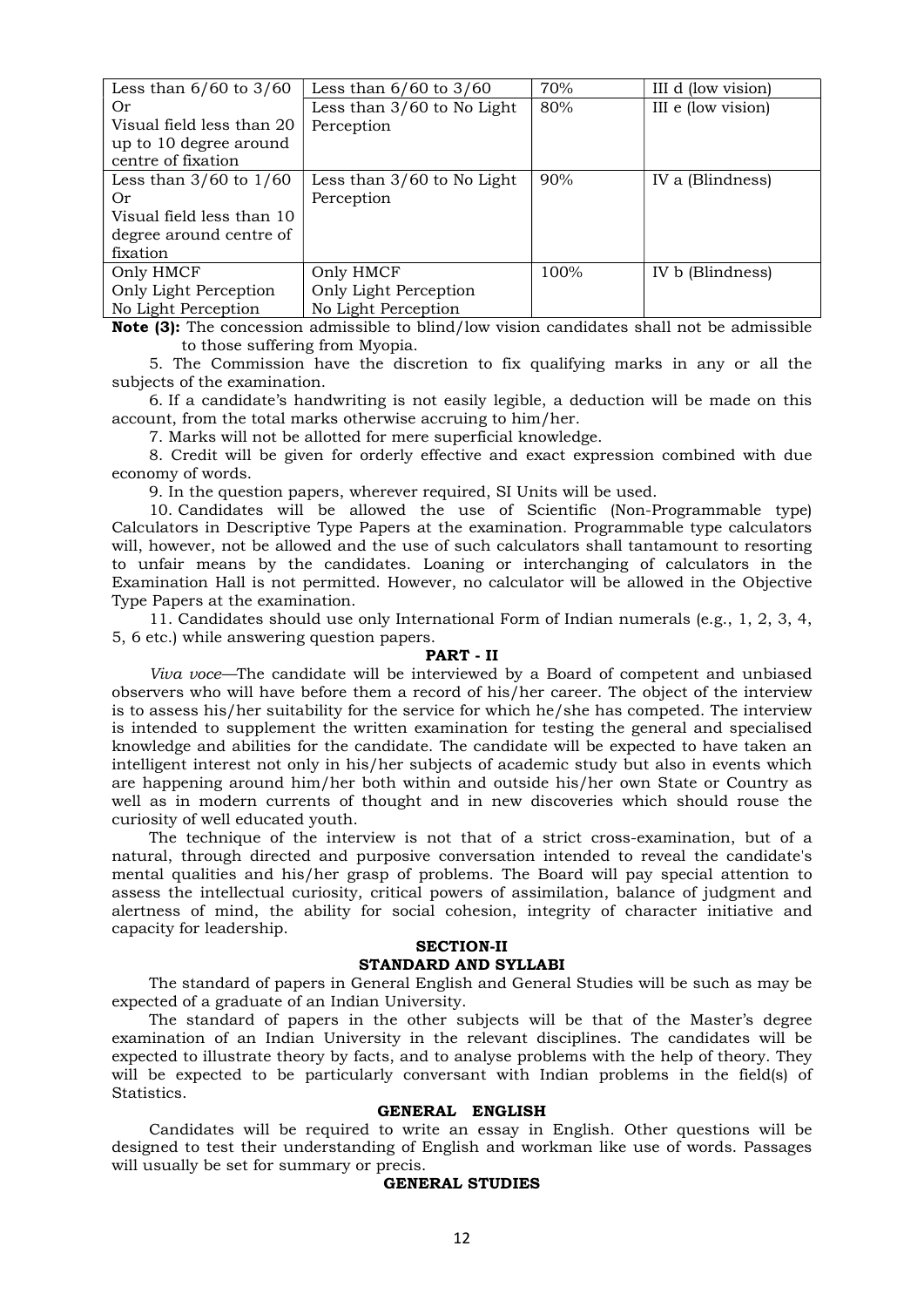| Less than $6/60$ to $3/60$ | Less than $6/60$ to $3/60$   | 70%  | III d (low vision) |
|----------------------------|------------------------------|------|--------------------|
| Or                         | Less than $3/60$ to No Light | 80%  | III e (low vision) |
| Visual field less than 20  | Perception                   |      |                    |
| up to 10 degree around     |                              |      |                    |
| centre of fixation         |                              |      |                    |
| Less than $3/60$ to $1/60$ | Less than 3/60 to No Light   | 90%  | IV a (Blindness)   |
| 0r                         | Perception                   |      |                    |
| Visual field less than 10  |                              |      |                    |
| degree around centre of    |                              |      |                    |
| fixation                   |                              |      |                    |
| Only HMCF                  | Only HMCF                    | 100% | IV b (Blindness)   |
| Only Light Perception      | Only Light Perception        |      |                    |
| No Light Perception        | No Light Perception          |      |                    |

Note (3): The concession admissible to blind/low vision candidates shall not be admissible to those suffering from Myopia.

 5. The Commission have the discretion to fix qualifying marks in any or all the subjects of the examination.

 6. If a candidate's handwriting is not easily legible, a deduction will be made on this account, from the total marks otherwise accruing to him/her.

7. Marks will not be allotted for mere superficial knowledge.

 8. Credit will be given for orderly effective and exact expression combined with due economy of words.

9. In the question papers, wherever required, SI Units will be used.

 10. Candidates will be allowed the use of Scientific (Non-Programmable type) Calculators in Descriptive Type Papers at the examination. Programmable type calculators will, however, not be allowed and the use of such calculators shall tantamount to resorting to unfair means by the candidates. Loaning or interchanging of calculators in the Examination Hall is not permitted. However, no calculator will be allowed in the Objective Type Papers at the examination.

 11. Candidates should use only International Form of Indian numerals (e.g., 1, 2, 3, 4, 5, 6 etc.) while answering question papers.

### PART - II

Viva voce—The candidate will be interviewed by a Board of competent and unbiased observers who will have before them a record of his/her career. The object of the interview is to assess his/her suitability for the service for which he/she has competed. The interview is intended to supplement the written examination for testing the general and specialised knowledge and abilities for the candidate. The candidate will be expected to have taken an intelligent interest not only in his/her subjects of academic study but also in events which are happening around him/her both within and outside his/her own State or Country as well as in modern currents of thought and in new discoveries which should rouse the curiosity of well educated youth.

 The technique of the interview is not that of a strict cross-examination, but of a natural, through directed and purposive conversation intended to reveal the candidate's mental qualities and his/her grasp of problems. The Board will pay special attention to assess the intellectual curiosity, critical powers of assimilation, balance of judgment and alertness of mind, the ability for social cohesion, integrity of character initiative and capacity for leadership.

#### SECTION-II STANDARD AND SYLLABI

 The standard of papers in General English and General Studies will be such as may be expected of a graduate of an Indian University.

 The standard of papers in the other subjects will be that of the Master's degree examination of an Indian University in the relevant disciplines. The candidates will be expected to illustrate theory by facts, and to analyse problems with the help of theory. They will be expected to be particularly conversant with Indian problems in the field(s) of Statistics.

#### GENERAL ENGLISH

 Candidates will be required to write an essay in English. Other questions will be designed to test their understanding of English and workman like use of words. Passages will usually be set for summary or precis.

#### GENERAL STUDIES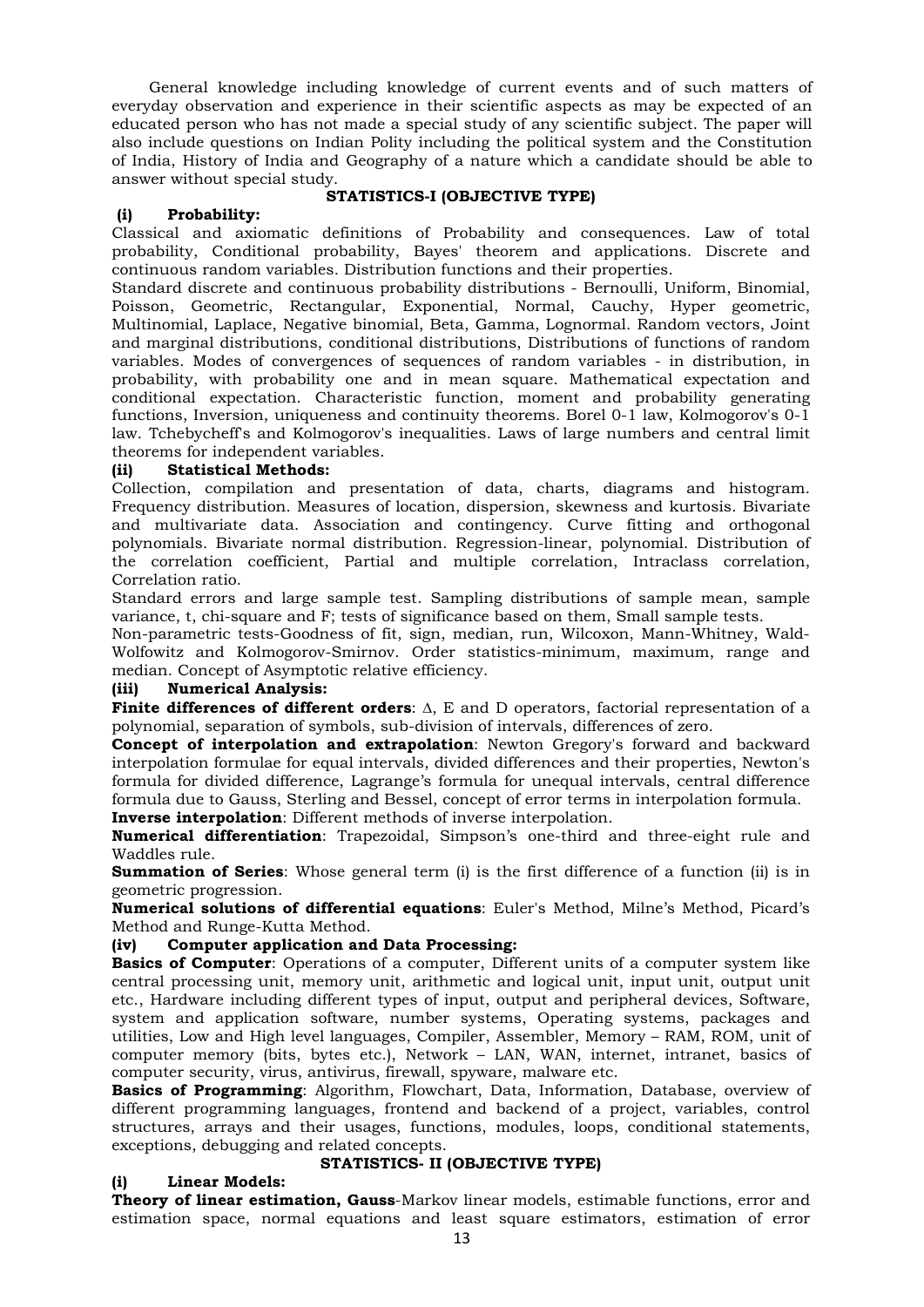General knowledge including knowledge of current events and of such matters of everyday observation and experience in their scientific aspects as may be expected of an educated person who has not made a special study of any scientific subject. The paper will also include questions on Indian Polity including the political system and the Constitution of India, History of India and Geography of a nature which a candidate should be able to answer without special study.

## (i) Probability:

# STATISTICS-I (OBJECTIVE TYPE)

Classical and axiomatic definitions of Probability and consequences. Law of total probability, Conditional probability, Bayes' theorem and applications. Discrete and continuous random variables. Distribution functions and their properties.

Standard discrete and continuous probability distributions - Bernoulli, Uniform, Binomial, Poisson, Geometric, Rectangular, Exponential, Normal, Cauchy, Hyper geometric, Multinomial, Laplace, Negative binomial, Beta, Gamma, Lognormal. Random vectors, Joint and marginal distributions, conditional distributions, Distributions of functions of random variables. Modes of convergences of sequences of random variables - in distribution, in probability, with probability one and in mean square. Mathematical expectation and conditional expectation. Characteristic function, moment and probability generating functions, Inversion, uniqueness and continuity theorems. Borel 0-1 law, Kolmogorov's 0-1 law. Tchebycheff's and Kolmogorov's inequalities. Laws of large numbers and central limit theorems for independent variables.

## (ii) Statistical Methods:

Collection, compilation and presentation of data, charts, diagrams and histogram. Frequency distribution. Measures of location, dispersion, skewness and kurtosis. Bivariate and multivariate data. Association and contingency. Curve fitting and orthogonal polynomials. Bivariate normal distribution. Regression-linear, polynomial. Distribution of the correlation coefficient, Partial and multiple correlation, Intraclass correlation, Correlation ratio.

Standard errors and large sample test. Sampling distributions of sample mean, sample variance, t, chi-square and F; tests of significance based on them, Small sample tests.

Non-parametric tests-Goodness of fit, sign, median, run, Wilcoxon, Mann-Whitney, Wald-Wolfowitz and Kolmogorov-Smirnov. Order statistics-minimum, maximum, range and median. Concept of Asymptotic relative efficiency.

## (iii) Numerical Analysis:

**Finite differences of different orders:**  $\Delta$ , E and D operators, factorial representation of a polynomial, separation of symbols, sub-division of intervals, differences of zero.

Concept of interpolation and extrapolation: Newton Gregory's forward and backward interpolation formulae for equal intervals, divided differences and their properties, Newton's formula for divided difference, Lagrange's formula for unequal intervals, central difference formula due to Gauss, Sterling and Bessel, concept of error terms in interpolation formula. Inverse interpolation: Different methods of inverse interpolation.

Numerical differentiation: Trapezoidal, Simpson's one-third and three-eight rule and Waddles rule.

**Summation of Series:** Whose general term (i) is the first difference of a function (ii) is in geometric progression.

Numerical solutions of differential equations: Euler's Method, Milne's Method, Picard's Method and Runge-Kutta Method.

### (iv) Computer application and Data Processing:

**Basics of Computer**: Operations of a computer, Different units of a computer system like central processing unit, memory unit, arithmetic and logical unit, input unit, output unit etc., Hardware including different types of input, output and peripheral devices, Software, system and application software, number systems, Operating systems, packages and utilities, Low and High level languages, Compiler, Assembler, Memory – RAM, ROM, unit of computer memory (bits, bytes etc.), Network – LAN, WAN, internet, intranet, basics of computer security, virus, antivirus, firewall, spyware, malware etc.

Basics of Programming: Algorithm, Flowchart, Data, Information, Database, overview of different programming languages, frontend and backend of a project, variables, control structures, arrays and their usages, functions, modules, loops, conditional statements, exceptions, debugging and related concepts.

# STATISTICS- II (OBJECTIVE TYPE)

# (i) Linear Models:

Theory of linear estimation, Gauss-Markov linear models, estimable functions, error and estimation space, normal equations and least square estimators, estimation of error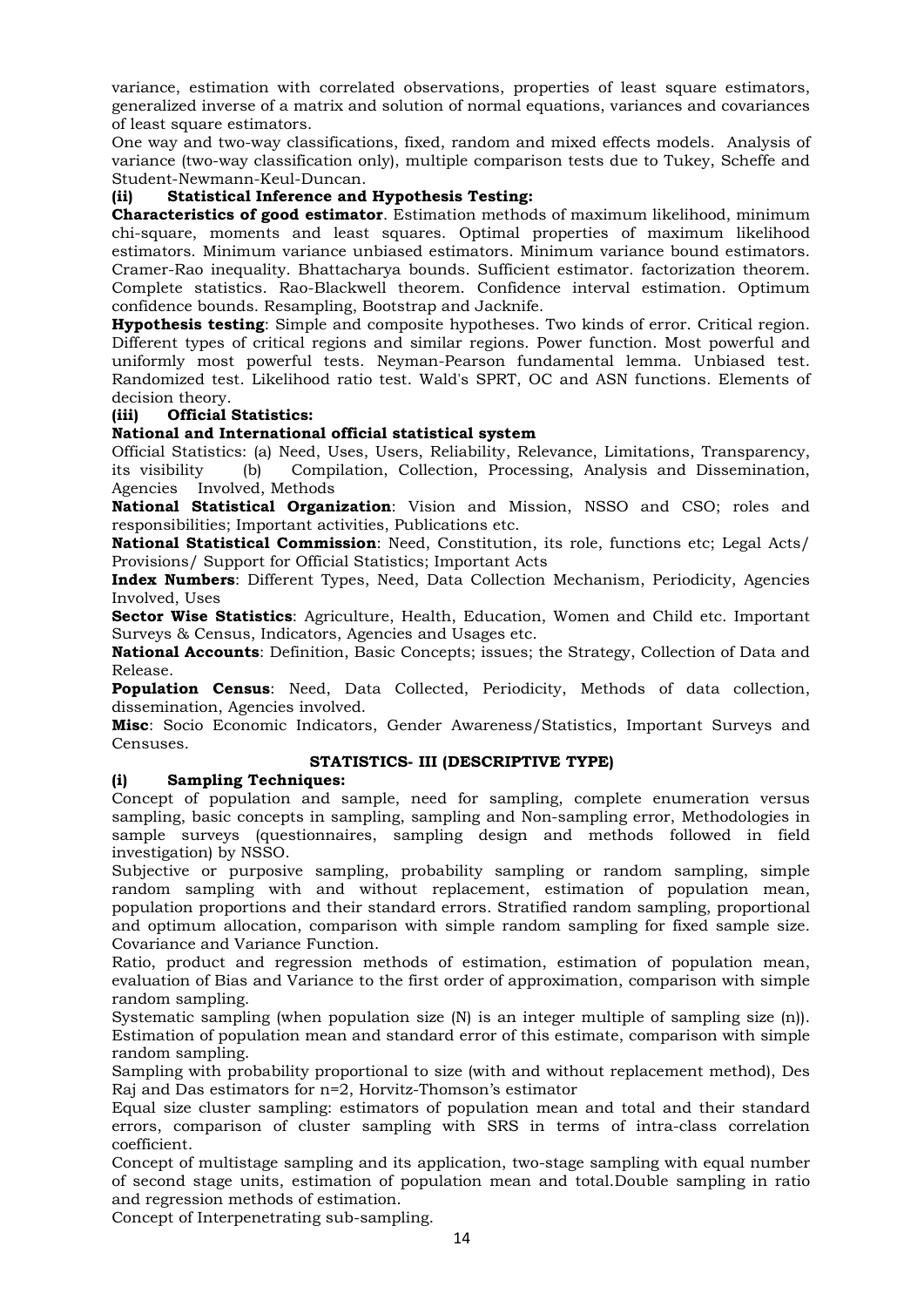variance, estimation with correlated observations, properties of least square estimators, generalized inverse of a matrix and solution of normal equations, variances and covariances of least square estimators.

One way and two-way classifications, fixed, random and mixed effects models. Analysis of variance (two-way classification only), multiple comparison tests due to Tukey, Scheffe and Student-Newmann-Keul-Duncan.

# (ii) Statistical Inference and Hypothesis Testing:

Characteristics of good estimator. Estimation methods of maximum likelihood, minimum chi-square, moments and least squares. Optimal properties of maximum likelihood estimators. Minimum variance unbiased estimators. Minimum variance bound estimators. Cramer-Rao inequality. Bhattacharya bounds. Sufficient estimator. factorization theorem. Complete statistics. Rao-Blackwell theorem. Confidence interval estimation. Optimum confidence bounds. Resampling, Bootstrap and Jacknife.

Hypothesis testing: Simple and composite hypotheses. Two kinds of error. Critical region. Different types of critical regions and similar regions. Power function. Most powerful and uniformly most powerful tests. Neyman-Pearson fundamental lemma. Unbiased test. Randomized test. Likelihood ratio test. Wald's SPRT, OC and ASN functions. Elements of decision theory.

# (iii) Official Statistics:

# National and International official statistical system

Official Statistics: (a) Need, Uses, Users, Reliability, Relevance, Limitations, Transparency, its visibility (b) Compilation, Collection, Processing, Analysis and Dissemination, Agencies Involved, Methods

National Statistical Organization: Vision and Mission, NSSO and CSO; roles and responsibilities; Important activities, Publications etc.

National Statistical Commission: Need, Constitution, its role, functions etc; Legal Acts/ Provisions/ Support for Official Statistics; Important Acts

Index Numbers: Different Types, Need, Data Collection Mechanism, Periodicity, Agencies Involved, Uses

Sector Wise Statistics: Agriculture, Health, Education, Women and Child etc. Important Surveys & Census, Indicators, Agencies and Usages etc.

National Accounts: Definition, Basic Concepts; issues; the Strategy, Collection of Data and Release.

Population Census: Need, Data Collected, Periodicity, Methods of data collection, dissemination, Agencies involved.

Misc: Socio Economic Indicators, Gender Awareness/Statistics, Important Surveys and Censuses.

# STATISTICS- III (DESCRIPTIVE TYPE)

### (i) Sampling Techniques:

Concept of population and sample, need for sampling, complete enumeration versus sampling, basic concepts in sampling, sampling and Non-sampling error, Methodologies in sample surveys (questionnaires, sampling design and methods followed in field investigation) by NSSO.

Subjective or purposive sampling, probability sampling or random sampling, simple random sampling with and without replacement, estimation of population mean, population proportions and their standard errors. Stratified random sampling, proportional and optimum allocation, comparison with simple random sampling for fixed sample size. Covariance and Variance Function.

Ratio, product and regression methods of estimation, estimation of population mean, evaluation of Bias and Variance to the first order of approximation, comparison with simple random sampling.

Systematic sampling (when population size (N) is an integer multiple of sampling size (n)). Estimation of population mean and standard error of this estimate, comparison with simple random sampling.

Sampling with probability proportional to size (with and without replacement method), Des Raj and Das estimators for n=2, Horvitz-Thomson's estimator

Equal size cluster sampling: estimators of population mean and total and their standard errors, comparison of cluster sampling with SRS in terms of intra-class correlation coefficient.

Concept of multistage sampling and its application, two-stage sampling with equal number of second stage units, estimation of population mean and total.Double sampling in ratio and regression methods of estimation.

Concept of Interpenetrating sub-sampling.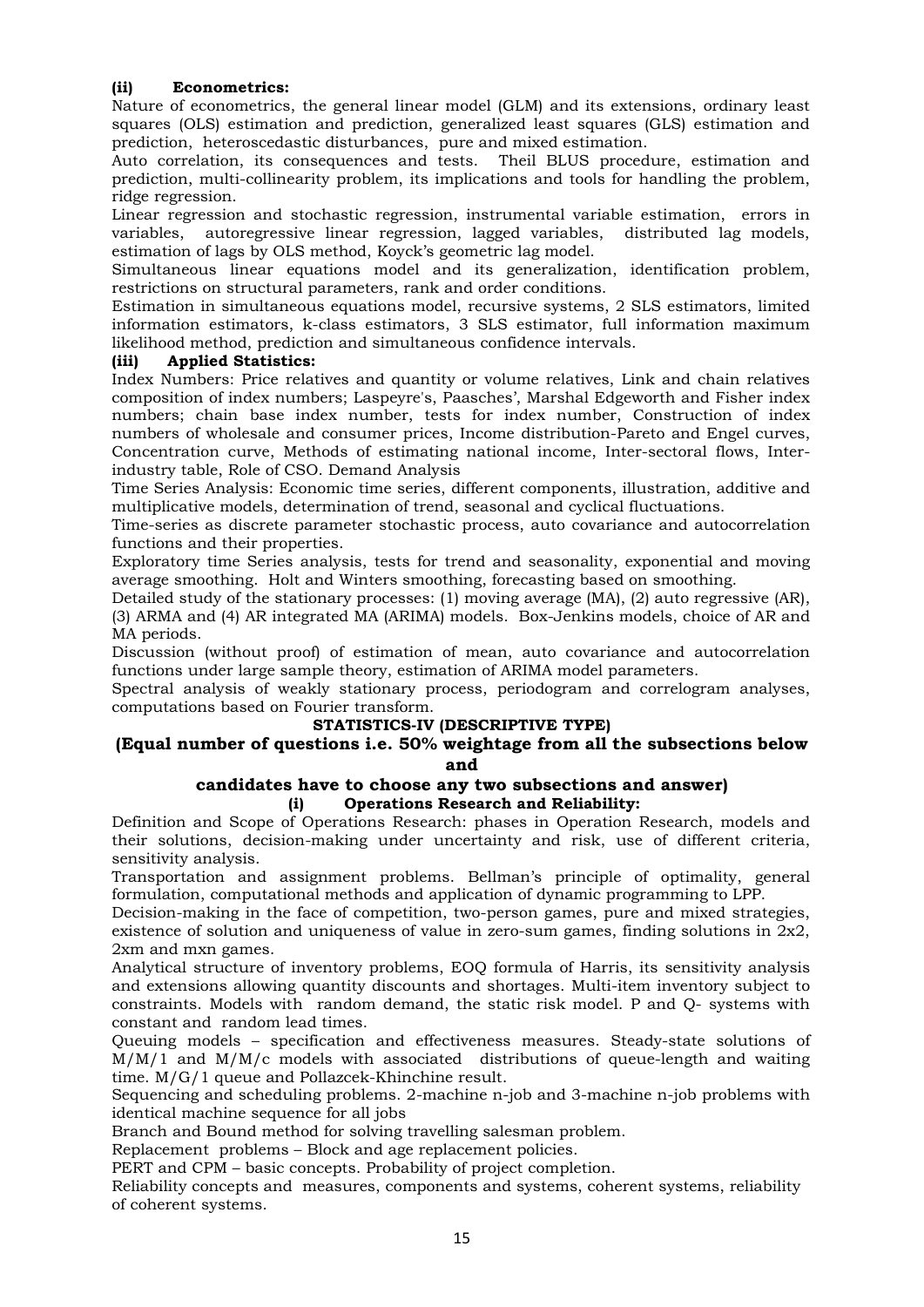# (ii) Econometrics:

Nature of econometrics, the general linear model (GLM) and its extensions, ordinary least squares (OLS) estimation and prediction, generalized least squares (GLS) estimation and prediction, heteroscedastic disturbances, pure and mixed estimation.

Auto correlation, its consequences and tests. Theil BLUS procedure, estimation and prediction, multi-collinearity problem, its implications and tools for handling the problem, ridge regression.

Linear regression and stochastic regression, instrumental variable estimation, errors in variables, autoregressive linear regression, lagged variables, distributed lag models, estimation of lags by OLS method, Koyck's geometric lag model.

Simultaneous linear equations model and its generalization, identification problem, restrictions on structural parameters, rank and order conditions.

Estimation in simultaneous equations model, recursive systems, 2 SLS estimators, limited information estimators, k-class estimators, 3 SLS estimator, full information maximum likelihood method, prediction and simultaneous confidence intervals.

# (iii) Applied Statistics:

Index Numbers: Price relatives and quantity or volume relatives, Link and chain relatives composition of index numbers; Laspeyre's, Paasches', Marshal Edgeworth and Fisher index numbers; chain base index number, tests for index number, Construction of index numbers of wholesale and consumer prices, Income distribution-Pareto and Engel curves, Concentration curve, Methods of estimating national income, Inter-sectoral flows, Interindustry table, Role of CSO. Demand Analysis

Time Series Analysis: Economic time series, different components, illustration, additive and multiplicative models, determination of trend, seasonal and cyclical fluctuations.

Time-series as discrete parameter stochastic process, auto covariance and autocorrelation functions and their properties.

Exploratory time Series analysis, tests for trend and seasonality, exponential and moving average smoothing. Holt and Winters smoothing, forecasting based on smoothing.

Detailed study of the stationary processes: (1) moving average (MA), (2) auto regressive (AR), (3) ARMA and (4) AR integrated MA (ARIMA) models. Box-Jenkins models, choice of AR and MA periods.

Discussion (without proof) of estimation of mean, auto covariance and autocorrelation functions under large sample theory, estimation of ARIMA model parameters.

Spectral analysis of weakly stationary process, periodogram and correlogram analyses, computations based on Fourier transform.

# STATISTICS-IV (DESCRIPTIVE TYPE)

### (Equal number of questions i.e. 50% weightage from all the subsections below and

## candidates have to choose any two subsections and answer) (i) Operations Research and Reliability:

Definition and Scope of Operations Research: phases in Operation Research, models and their solutions, decision-making under uncertainty and risk, use of different criteria, sensitivity analysis.

Transportation and assignment problems. Bellman's principle of optimality, general formulation, computational methods and application of dynamic programming to LPP.

Decision-making in the face of competition, two-person games, pure and mixed strategies, existence of solution and uniqueness of value in zero-sum games, finding solutions in  $2x^2$ , 2xm and mxn games.

Analytical structure of inventory problems, EOQ formula of Harris, its sensitivity analysis and extensions allowing quantity discounts and shortages. Multi-item inventory subject to constraints. Models with random demand, the static risk model. P and Q- systems with constant and random lead times.

Queuing models – specification and effectiveness measures. Steady-state solutions of M/M/1 and M/M/c models with associated distributions of queue-length and waiting time. M/G/1 queue and Pollazcek-Khinchine result.

Sequencing and scheduling problems. 2-machine n-job and 3-machine n-job problems with identical machine sequence for all jobs

Branch and Bound method for solving travelling salesman problem.

Replacement problems – Block and age replacement policies.

PERT and CPM – basic concepts. Probability of project completion.

Reliability concepts and measures, components and systems, coherent systems, reliability of coherent systems.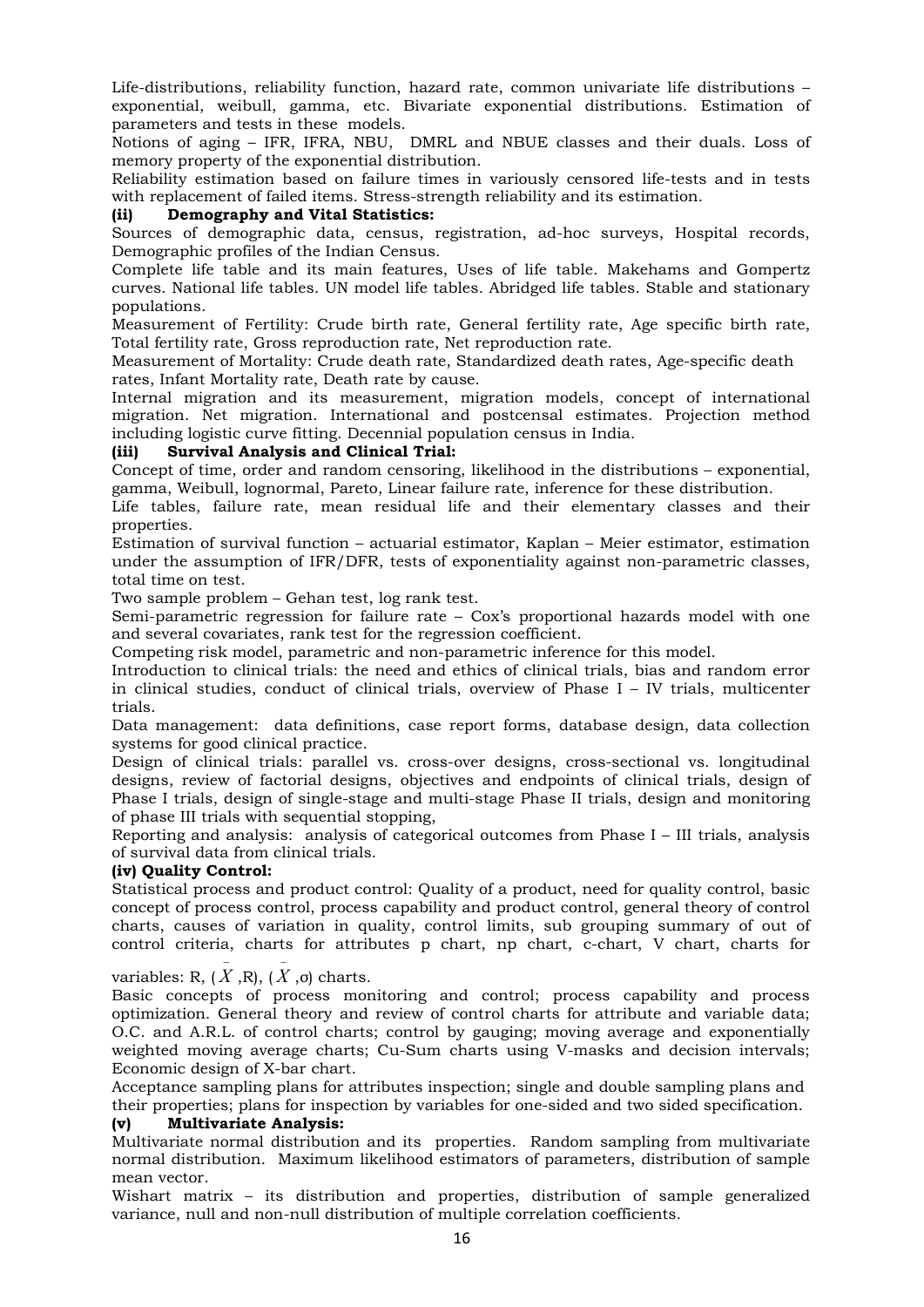Life-distributions, reliability function, hazard rate, common univariate life distributions – exponential, weibull, gamma, etc. Bivariate exponential distributions. Estimation of parameters and tests in these models.

Notions of aging – IFR, IFRA, NBU, DMRL and NBUE classes and their duals. Loss of memory property of the exponential distribution.

Reliability estimation based on failure times in variously censored life-tests and in tests with replacement of failed items. Stress-strength reliability and its estimation.

## (ii) Demography and Vital Statistics:

Sources of demographic data, census, registration, ad-hoc surveys, Hospital records, Demographic profiles of the Indian Census.

Complete life table and its main features, Uses of life table. Makehams and Gompertz curves. National life tables. UN model life tables. Abridged life tables. Stable and stationary populations.

Measurement of Fertility: Crude birth rate, General fertility rate, Age specific birth rate, Total fertility rate, Gross reproduction rate, Net reproduction rate.

Measurement of Mortality: Crude death rate, Standardized death rates, Age-specific death rates, Infant Mortality rate, Death rate by cause.

Internal migration and its measurement, migration models, concept of international migration. Net migration. International and postcensal estimates. Projection method including logistic curve fitting. Decennial population census in India.

## (iii) Survival Analysis and Clinical Trial:

Concept of time, order and random censoring, likelihood in the distributions – exponential, gamma, Weibull, lognormal, Pareto, Linear failure rate, inference for these distribution.

Life tables, failure rate, mean residual life and their elementary classes and their properties.

Estimation of survival function – actuarial estimator, Kaplan – Meier estimator, estimation under the assumption of IFR/DFR, tests of exponentiality against non-parametric classes, total time on test.

Two sample problem – Gehan test, log rank test.

Semi-parametric regression for failure rate – Cox's proportional hazards model with one and several covariates, rank test for the regression coefficient.

Competing risk model, parametric and non-parametric inference for this model.

Introduction to clinical trials: the need and ethics of clinical trials, bias and random error in clinical studies, conduct of clinical trials, overview of Phase I – IV trials, multicenter trials.

Data management: data definitions, case report forms, database design, data collection systems for good clinical practice.

Design of clinical trials: parallel vs. cross-over designs, cross-sectional vs. longitudinal designs, review of factorial designs, objectives and endpoints of clinical trials, design of Phase I trials, design of single-stage and multi-stage Phase II trials, design and monitoring of phase III trials with sequential stopping,

Reporting and analysis: analysis of categorical outcomes from Phase I – III trials, analysis of survival data from clinical trials.

### (iv) Quality Control:

Statistical process and product control: Quality of a product, need for quality control, basic concept of process control, process capability and product control, general theory of control charts, causes of variation in quality, control limits, sub grouping summary of out of control criteria, charts for attributes p chart, np chart, c-chart, V chart, charts for

variables: R,  $(X, R)$ ,  $(X, \sigma)$  charts.  $\overline{\phantom{0}}$  $\overline{\phantom{0}}$ 

Basic concepts of process monitoring and control; process capability and process optimization. General theory and review of control charts for attribute and variable data; O.C. and A.R.L. of control charts; control by gauging; moving average and exponentially weighted moving average charts; Cu-Sum charts using V-masks and decision intervals; Economic design of X-bar chart.

Acceptance sampling plans for attributes inspection; single and double sampling plans and their properties; plans for inspection by variables for one-sided and two sided specification.

### (v) Multivariate Analysis:

Multivariate normal distribution and its properties. Random sampling from multivariate normal distribution. Maximum likelihood estimators of parameters, distribution of sample mean vector.

Wishart matrix – its distribution and properties, distribution of sample generalized variance, null and non-null distribution of multiple correlation coefficients.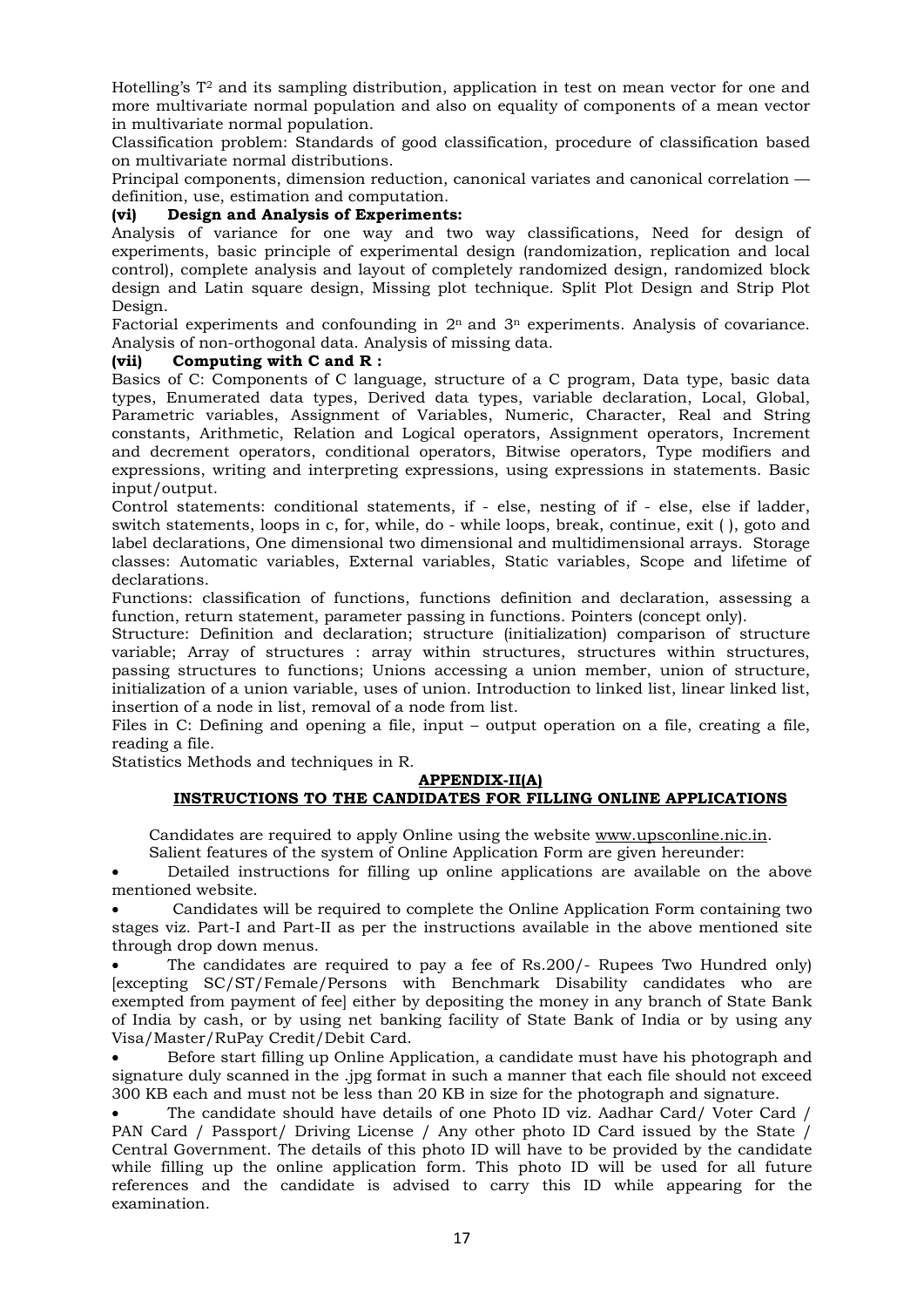Hotelling's T2 and its sampling distribution, application in test on mean vector for one and more multivariate normal population and also on equality of components of a mean vector in multivariate normal population.

Classification problem: Standards of good classification, procedure of classification based on multivariate normal distributions.

Principal components, dimension reduction, canonical variates and canonical correlation definition, use, estimation and computation.

## (vi) Design and Analysis of Experiments:

Analysis of variance for one way and two way classifications, Need for design of experiments, basic principle of experimental design (randomization, replication and local control), complete analysis and layout of completely randomized design, randomized block design and Latin square design, Missing plot technique. Split Plot Design and Strip Plot Design.

Factorial experiments and confounding in  $2^n$  and  $3^n$  experiments. Analysis of covariance. Analysis of non-orthogonal data. Analysis of missing data.

## (vii) Computing with C and R :

Basics of C: Components of C language, structure of a C program, Data type, basic data types, Enumerated data types, Derived data types, variable declaration, Local, Global, Parametric variables, Assignment of Variables, Numeric, Character, Real and String constants, Arithmetic, Relation and Logical operators, Assignment operators, Increment and decrement operators, conditional operators, Bitwise operators, Type modifiers and expressions, writing and interpreting expressions, using expressions in statements. Basic input/output.

Control statements: conditional statements, if - else, nesting of if - else, else if ladder, switch statements, loops in c, for, while, do - while loops, break, continue, exit ( ), goto and label declarations, One dimensional two dimensional and multidimensional arrays. Storage classes: Automatic variables, External variables, Static variables, Scope and lifetime of declarations.

Functions: classification of functions, functions definition and declaration, assessing a function, return statement, parameter passing in functions. Pointers (concept only).

Structure: Definition and declaration; structure (initialization) comparison of structure variable; Array of structures : array within structures, structures within structures, passing structures to functions; Unions accessing a union member, union of structure, initialization of a union variable, uses of union. Introduction to linked list, linear linked list, insertion of a node in list, removal of a node from list.

Files in C: Defining and opening a file, input – output operation on a file, creating a file, reading a file.

Statistics Methods and techniques in R.

#### APPENDIX-II(A) INSTRUCTIONS TO THE CANDIDATES FOR FILLING ONLINE APPLICATIONS

Candidates are required to apply Online using the website www.upsconline.nic.in.

Salient features of the system of Online Application Form are given hereunder:

 Detailed instructions for filling up online applications are available on the above mentioned website.

 Candidates will be required to complete the Online Application Form containing two stages viz. Part-I and Part-II as per the instructions available in the above mentioned site through drop down menus.

 The candidates are required to pay a fee of Rs.200/- Rupees Two Hundred only) [excepting SC/ST/Female/Persons with Benchmark Disability candidates who are exempted from payment of fee] either by depositing the money in any branch of State Bank of India by cash, or by using net banking facility of State Bank of India or by using any Visa/Master/RuPay Credit/Debit Card.

 Before start filling up Online Application, a candidate must have his photograph and signature duly scanned in the .jpg format in such a manner that each file should not exceed 300 KB each and must not be less than 20 KB in size for the photograph and signature.

 The candidate should have details of one Photo ID viz. Aadhar Card/ Voter Card / PAN Card / Passport/ Driving License / Any other photo ID Card issued by the State / Central Government. The details of this photo ID will have to be provided by the candidate while filling up the online application form. This photo ID will be used for all future references and the candidate is advised to carry this ID while appearing for the examination.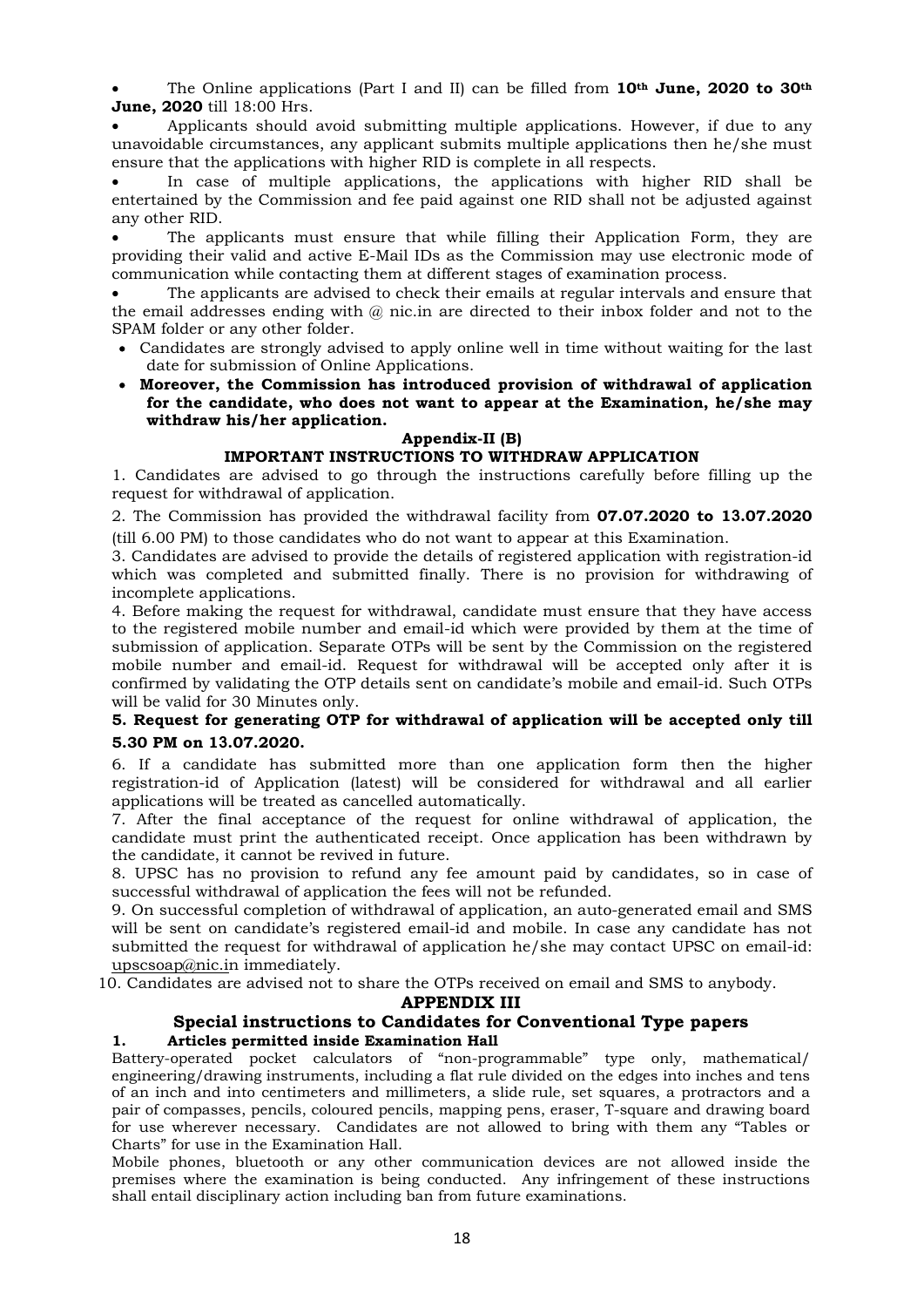The Online applications (Part I and II) can be filled from  $10<sup>th</sup>$  June, 2020 to 30<sup>th</sup> June, 2020 till 18:00 Hrs.

 Applicants should avoid submitting multiple applications. However, if due to any unavoidable circumstances, any applicant submits multiple applications then he/she must ensure that the applications with higher RID is complete in all respects.

 In case of multiple applications, the applications with higher RID shall be entertained by the Commission and fee paid against one RID shall not be adjusted against any other RID.

 The applicants must ensure that while filling their Application Form, they are providing their valid and active E-Mail IDs as the Commission may use electronic mode of communication while contacting them at different stages of examination process.

 The applicants are advised to check their emails at regular intervals and ensure that the email addresses ending with @ nic.in are directed to their inbox folder and not to the SPAM folder or any other folder.

- Candidates are strongly advised to apply online well in time without waiting for the last date for submission of Online Applications.
- Moreover, the Commission has introduced provision of withdrawal of application for the candidate, who does not want to appear at the Examination, he/she may withdraw his/her application.

#### Appendix-II (B) IMPORTANT INSTRUCTIONS TO WITHDRAW APPLICATION

1. Candidates are advised to go through the instructions carefully before filling up the request for withdrawal of application.

2. The Commission has provided the withdrawal facility from 07.07.2020 to 13.07.2020 (till 6.00 PM) to those candidates who do not want to appear at this Examination.

3. Candidates are advised to provide the details of registered application with registration-id which was completed and submitted finally. There is no provision for withdrawing of incomplete applications.

4. Before making the request for withdrawal, candidate must ensure that they have access to the registered mobile number and email-id which were provided by them at the time of submission of application. Separate OTPs will be sent by the Commission on the registered mobile number and email-id. Request for withdrawal will be accepted only after it is confirmed by validating the OTP details sent on candidate's mobile and email-id. Such OTPs will be valid for 30 Minutes only.

# 5. Request for generating OTP for withdrawal of application will be accepted only till 5.30 PM on 13.07.2020.

6. If a candidate has submitted more than one application form then the higher registration-id of Application (latest) will be considered for withdrawal and all earlier applications will be treated as cancelled automatically.

7. After the final acceptance of the request for online withdrawal of application, the candidate must print the authenticated receipt. Once application has been withdrawn by the candidate, it cannot be revived in future.

8. UPSC has no provision to refund any fee amount paid by candidates, so in case of successful withdrawal of application the fees will not be refunded.

9. On successful completion of withdrawal of application, an auto-generated email and SMS will be sent on candidate's registered email-id and mobile. In case any candidate has not submitted the request for withdrawal of application he/she may contact UPSC on email-id: upscsoap@nic.in immediately.

10. Candidates are advised not to share the OTPs received on email and SMS to anybody.

### APPENDIX III

# Special instructions to Candidates for Conventional Type papers 1. Articles permitted inside Examination Hall

Battery-operated pocket calculators of "non-programmable" type only, mathematical/ engineering/drawing instruments, including a flat rule divided on the edges into inches and tens of an inch and into centimeters and millimeters, a slide rule, set squares, a protractors and a pair of compasses, pencils, coloured pencils, mapping pens, eraser, T-square and drawing board for use wherever necessary. Candidates are not allowed to bring with them any "Tables or Charts" for use in the Examination Hall.

Mobile phones, bluetooth or any other communication devices are not allowed inside the premises where the examination is being conducted. Any infringement of these instructions shall entail disciplinary action including ban from future examinations.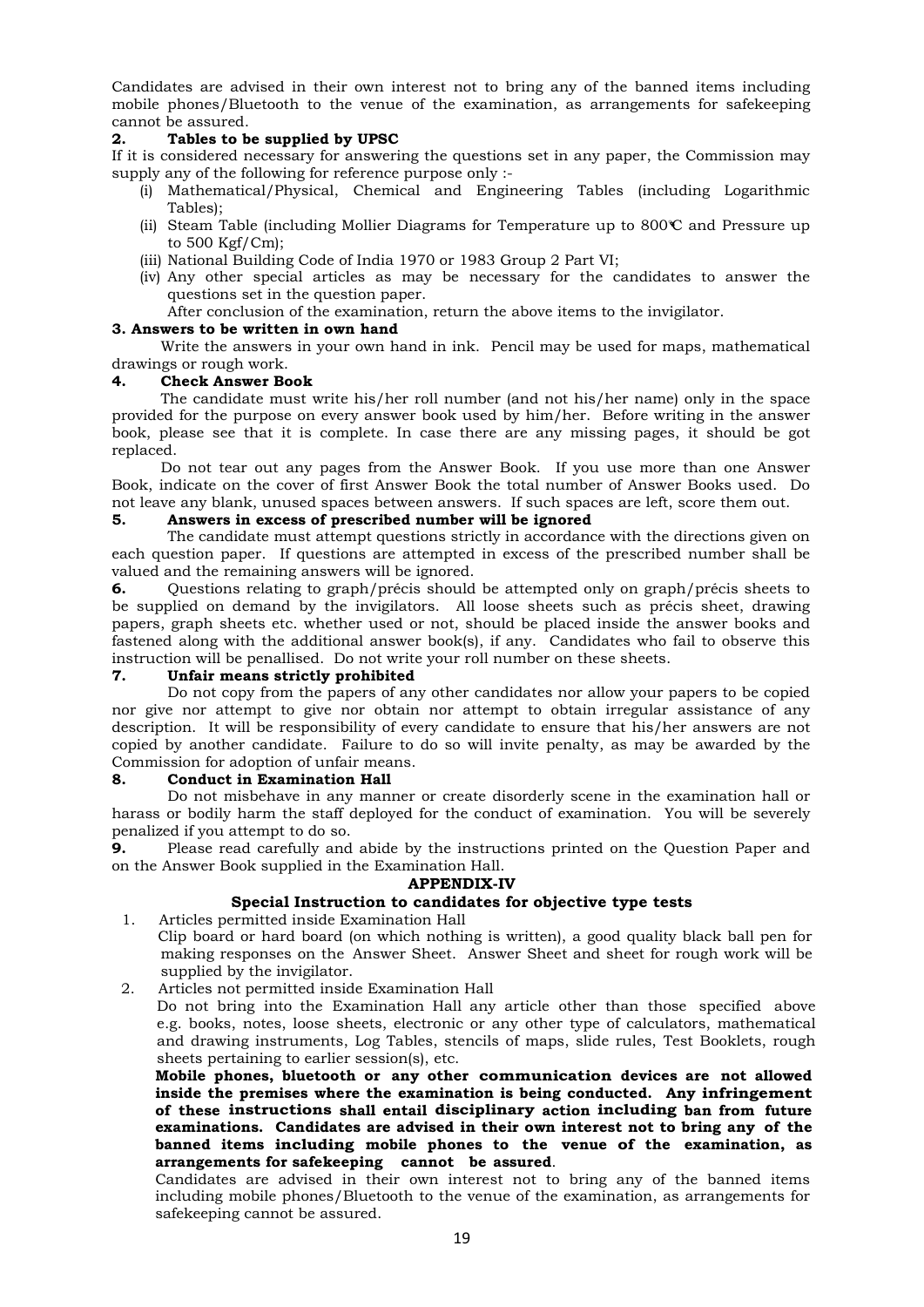Candidates are advised in their own interest not to bring any of the banned items including mobile phones/Bluetooth to the venue of the examination, as arrangements for safekeeping cannot be assured.

### Tables to be supplied by UPSC

If it is considered necessary for answering the questions set in any paper, the Commission may supply any of the following for reference purpose only :-

- (i) Mathematical/Physical, Chemical and Engineering Tables (including Logarithmic Tables);
- (ii) Steam Table (including Mollier Diagrams for Temperature up to  $800^\circ\text{C}$  and Pressure up to 500 Kgf/Cm);
- (iii) National Building Code of India 1970 or 1983 Group 2 Part VI;
- (iv) Any other special articles as may be necessary for the candidates to answer the questions set in the question paper.

After conclusion of the examination, return the above items to the invigilator.

### 3. Answers to be written in own hand

Write the answers in your own hand in ink. Pencil may be used for maps, mathematical drawings or rough work.

#### 4. Check Answer Book

The candidate must write his/her roll number (and not his/her name) only in the space provided for the purpose on every answer book used by him/her. Before writing in the answer book, please see that it is complete. In case there are any missing pages, it should be got replaced.

Do not tear out any pages from the Answer Book. If you use more than one Answer Book, indicate on the cover of first Answer Book the total number of Answer Books used. Do not leave any blank, unused spaces between answers. If such spaces are left, score them out.

## 5. Answers in excess of prescribed number will be ignored

The candidate must attempt questions strictly in accordance with the directions given on each question paper. If questions are attempted in excess of the prescribed number shall be valued and the remaining answers will be ignored.

6. Questions relating to graph/précis should be attempted only on graph/précis sheets to be supplied on demand by the invigilators. All loose sheets such as précis sheet, drawing papers, graph sheets etc. whether used or not, should be placed inside the answer books and fastened along with the additional answer book(s), if any. Candidates who fail to observe this instruction will be penallised. Do not write your roll number on these sheets.

### 7. Unfair means strictly prohibited

Do not copy from the papers of any other candidates nor allow your papers to be copied nor give nor attempt to give nor obtain nor attempt to obtain irregular assistance of any description. It will be responsibility of every candidate to ensure that his/her answers are not copied by another candidate. Failure to do so will invite penalty, as may be awarded by the Commission for adoption of unfair means.

#### 8. Conduct in Examination Hall

Do not misbehave in any manner or create disorderly scene in the examination hall or harass or bodily harm the staff deployed for the conduct of examination. You will be severely penalized if you attempt to do so.

9. Please read carefully and abide by the instructions printed on the Question Paper and on the Answer Book supplied in the Examination Hall.

#### APPENDIX-IV

### Special Instruction to candidates for objective type tests

1. Articles permitted inside Examination Hall

 Clip board or hard board (on which nothing is written), a good quality black ball pen for making responses on the Answer Sheet. Answer Sheet and sheet for rough work will be supplied by the invigilator.

2. Articles not permitted inside Examination Hall

Do not bring into the Examination Hall any article other than those specified above e.g. books, notes, loose sheets, electronic or any other type of calculators, mathematical and drawing instruments, Log Tables, stencils of maps, slide rules, Test Booklets, rough sheets pertaining to earlier session(s), etc.

Mobile phones, bluetooth or any other communication devices are not allowed inside the premises where the examination is being conducted. Any infringement of these instructions shall entail disciplinary action including ban from future examinations. Candidates are advised in their own interest not to bring any of the banned items including mobile phones to the venue of the examination, as arrangements for safekeeping cannot be assured.

Candidates are advised in their own interest not to bring any of the banned items including mobile phones/Bluetooth to the venue of the examination, as arrangements for safekeeping cannot be assured.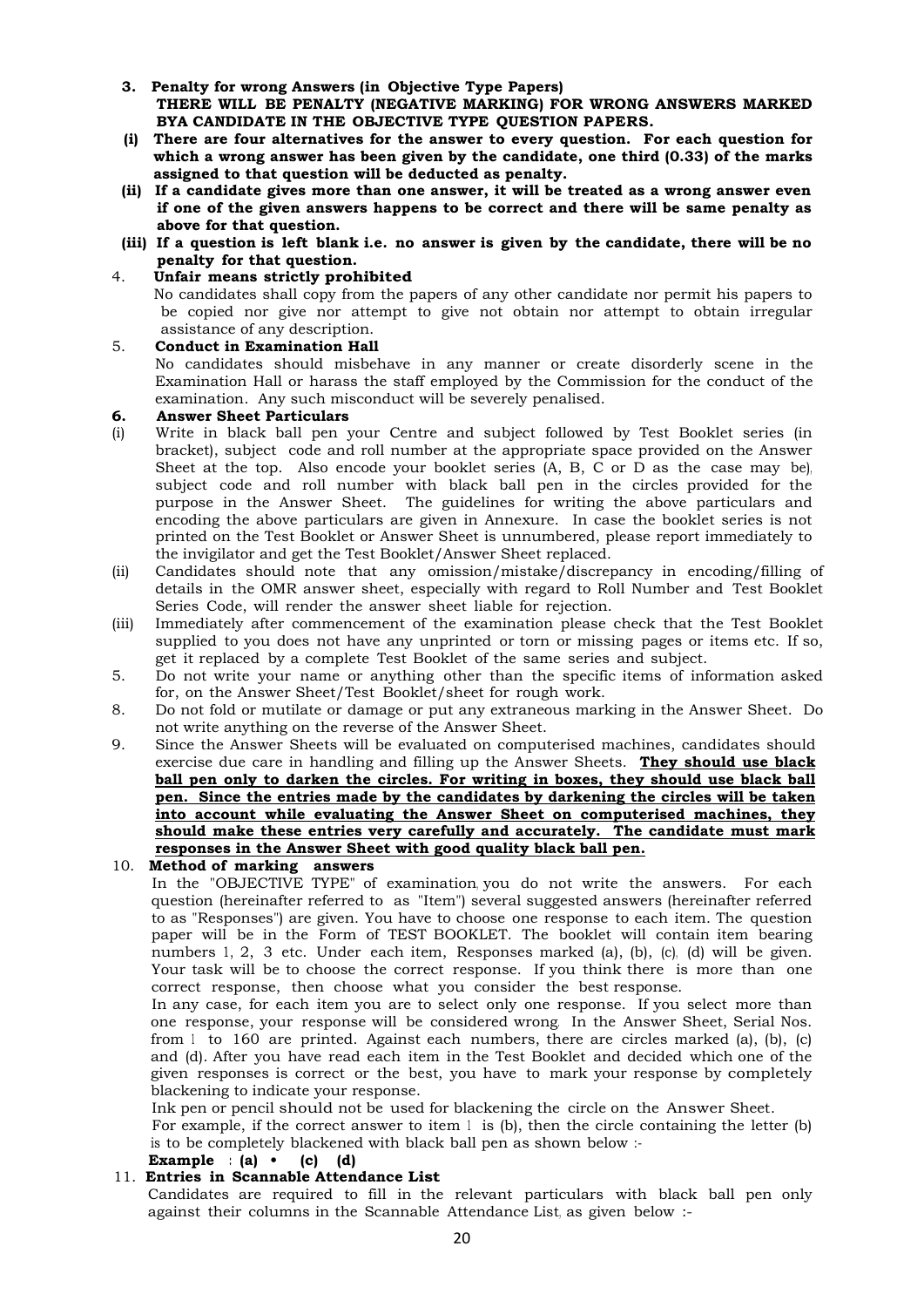- 3. Penalty for wrong Answers (in Objective Type Papers) THERE WILL BE PENALTY (NEGATIVE MARKING) FOR WRONG ANSWERS MARKED BYA CANDIDATE IN THE OBJECTIVE TYPE QUESTION PAPERS.
- (i) There are four alternatives for the answer to every question. For each question for which a wrong answer has been given by the candidate, one third (0.33) of the marks assigned to that question will be deducted as penalty.
- (ii) If a candidate gives more than one answer, it will be treated as a wrong answer even if one of the given answers happens to be correct and there will be same penalty as above for that question.
- (iii) If a question is left blank i.e. no answer is given by the candidate, there will be no penalty for that question.

## 4. Unfair means strictly prohibited

 No candidates shall copy from the papers of any other candidate nor permit his papers to be copied nor give nor attempt to give not obtain nor attempt to obtain irregular assistance of any description.

# 5. Conduct in Examination Hall

No candidates should misbehave in any manner or create disorderly scene in the Examination Hall or harass the staff employed by the Commission for the conduct of the examination. Any such misconduct will be severely penalised.

#### 6. Answer Sheet Particulars

- (i) Write in black ball pen your Centre and subject followed by Test Booklet series (in bracket), subject code and roll number at the appropriate space provided on the Answer Sheet at the top. Also encode your booklet series (A, B, C or D as the case may be), subject code and roll number with black ball pen in the circles provided for the purpose in the Answer Sheet. The guidelines for writing the above particulars and encoding the above particulars are given in Annexure. In case the booklet series is not printed on the Test Booklet or Answer Sheet is unnumbered, please report immediately to the invigilator and get the Test Booklet/Answer Sheet replaced.
- (ii) Candidates should note that any omission/mistake/discrepancy in encoding/filling of details in the OMR answer sheet, especially with regard to Roll Number and Test Booklet Series Code, will render the answer sheet liable for rejection.
- (iii) Immediately after commencement of the examination please check that the Test Booklet supplied to you does not have any unprinted or torn or missing pages or items etc. If so, get it replaced by a complete Test Booklet of the same series and subject.
- 5. Do not write your name or anything other than the specific items of information asked for, on the Answer Sheet/Test Booklet/sheet for rough work.
- 8. Do not fold or mutilate or damage or put any extraneous marking in the Answer Sheet. Do not write anything on the reverse of the Answer Sheet.
- 9. Since the Answer Sheets will be evaluated on computerised machines, candidates should exercise due care in handling and filling up the Answer Sheets. **They should use black** ball pen only to darken the circles. For writing in boxes, they should use black ball pen. Since the entries made by the candidates by darkening the circles will be taken into account while evaluating the Answer Sheet on computerised machines, they should make these entries very carefully and accurately. The candidate must mark responses in the Answer Sheet with good quality black ball pen.
- 10. Method of marking answers

In the "OBJECTIVE TYPE" of examination, you do not write the answers. For each question (hereinafter referred to as "Item") several suggested answers (hereinafter referred to as "Responses") are given. You have to choose one response to each item. The question paper will be in the Form of TEST BOOKLET. The booklet will contain item bearing numbers 1, 2, 3 etc. Under each item, Responses marked (a), (b), (c), (d) will be given. Your task will be to choose the correct response. If you think there is more than one correct response, then choose what you consider the best response.

In any case, for each item you are to select only one response. If you select more than one response, your response will be considered wrong. In the Answer Sheet, Serial Nos. from  $1$  to 160 are printed. Against each numbers, there are circles marked (a), (b), (c) and (d). After you have read each item in the Test Booklet and decided which one of the given responses is correct or the best, you have to mark your response by completely blackening to indicate your response.

Ink pen or pencil should not be used for blackening the circle on the Answer Sheet.

For example, if the correct answer to item  $1$  is (b), then the circle containing the letter (b) is to be completely blackened with black ball pen as shown below :-

# Example :  $(a) \cdot (c)$   $(d)$

## 11. Entries in Scannable Attendance List

Candidates are required to fill in the relevant particulars with black ball pen only against their columns in the Scannable Attendance List, as given below :-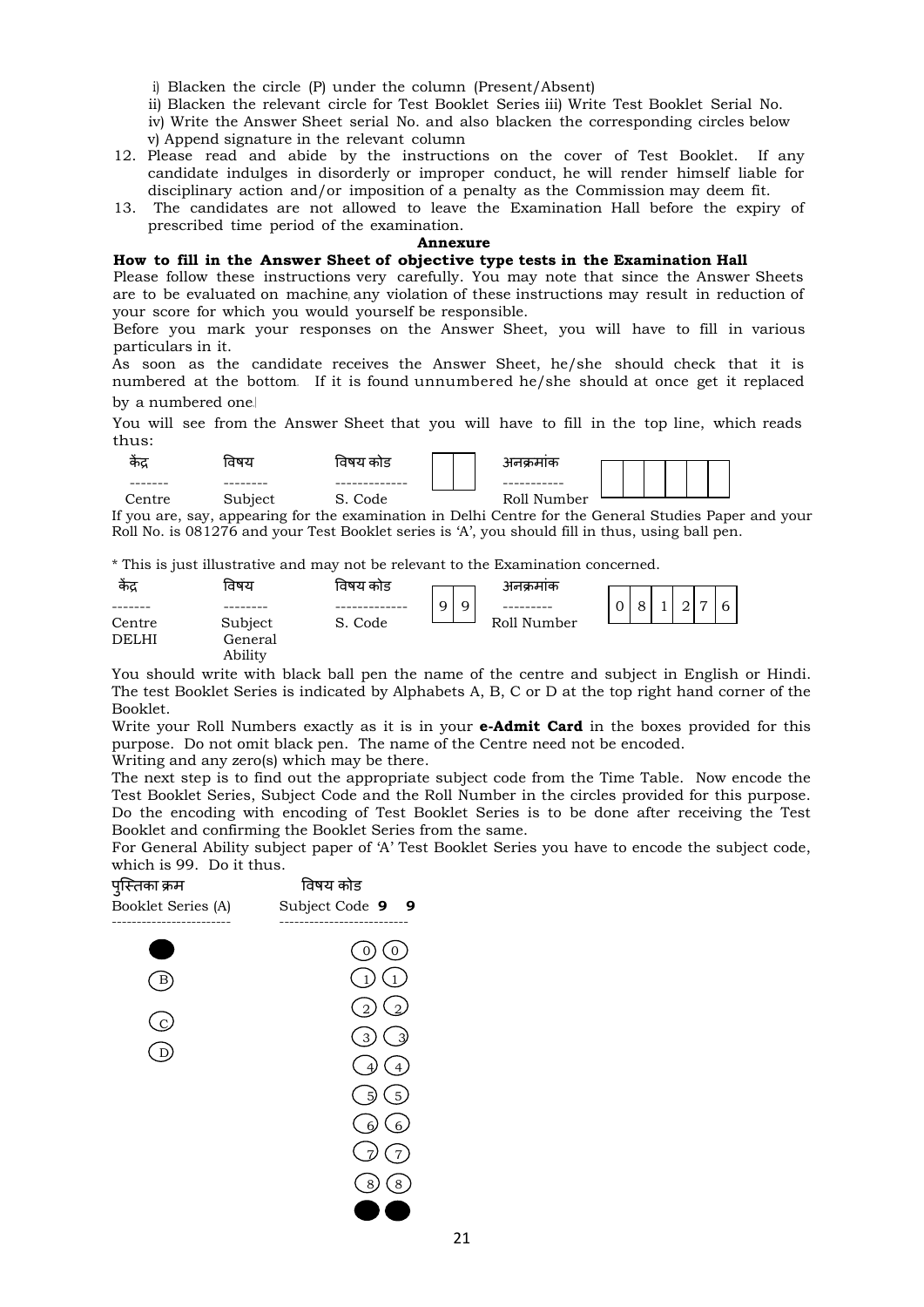i) Blacken the circle (P) under the column (Present/Absent)

ii) Blacken the relevant circle for Test Booklet Series iii) Write Test Booklet Serial No.

iv) Write the Answer Sheet serial No. and also blacken the corresponding circles below v) Append signature in the relevant column

- 12. Please read and abide by the instructions on the cover of Test Booklet. If any candidate indulges in disorderly or improper conduct, he will render himself liable for disciplinary action and/or imposition of a penalty as the Commission may deem fit.
- 13. The candidates are not allowed to leave the Examination Hall before the expiry of prescribed time period of the examination.

#### Annexure

#### How to fill in the Answer Sheet of objective type tests in the Examination Hall

Please follow these instructions very carefully. You may note that since the Answer Sheets are to be evaluated on machine, any violation of these instructions may result in reduction of your score for which you would yourself be responsible.

Before you mark your responses on the Answer Sheet, you will have to fill in various particulars in it.

As soon as the candidate receives the Answer Sheet, he/she should check that it is numbered at the bottom. If it is found unnumbered he/she should at once get it replaced by a numbered one.।

You will see from the Answer Sheet that you will have to fill in the top line, which reads thus:



If you are, say, appearing for the examination in Delhi Centre for the General Studies Paper and your Roll No. is 081276 and your Test Booklet series is 'A', you should fill in thus, using ball pen.

\* This is just illustrative and may not be relevant to the Examination concerned.

| केंद्र       | विषय    | विषय कोड |   | अनक्रमाक    |   |          |  |                |   |  |
|--------------|---------|----------|---|-------------|---|----------|--|----------------|---|--|
|              |         |          | Q |             | 0 | $\Omega$ |  | $\overline{ }$ | 6 |  |
| Centre       | Subject | S. Code  |   | Roll Number |   |          |  |                |   |  |
| <b>DELHI</b> | General |          |   |             |   |          |  |                |   |  |
|              | Ability |          |   |             |   |          |  |                |   |  |

You should write with black ball pen the name of the centre and subject in English or Hindi. The test Booklet Series is indicated by Alphabets A, B, C or D at the top right hand corner of the Booklet.

Write your Roll Numbers exactly as it is in your **e-Admit Card** in the boxes provided for this purpose. Do not omit black pen. The name of the Centre need not be encoded.

Writing and any zero(s) which may be there.

The next step is to find out the appropriate subject code from the Time Table. Now encode the Test Booklet Series, Subject Code and the Roll Number in the circles provided for this purpose. Do the encoding with encoding of Test Booklet Series is to be done after receiving the Test Booklet and confirming the Booklet Series from the same.

For General Ability subject paper of 'A' Test Booklet Series you have to encode the subject code, which is 99. Do it thus.

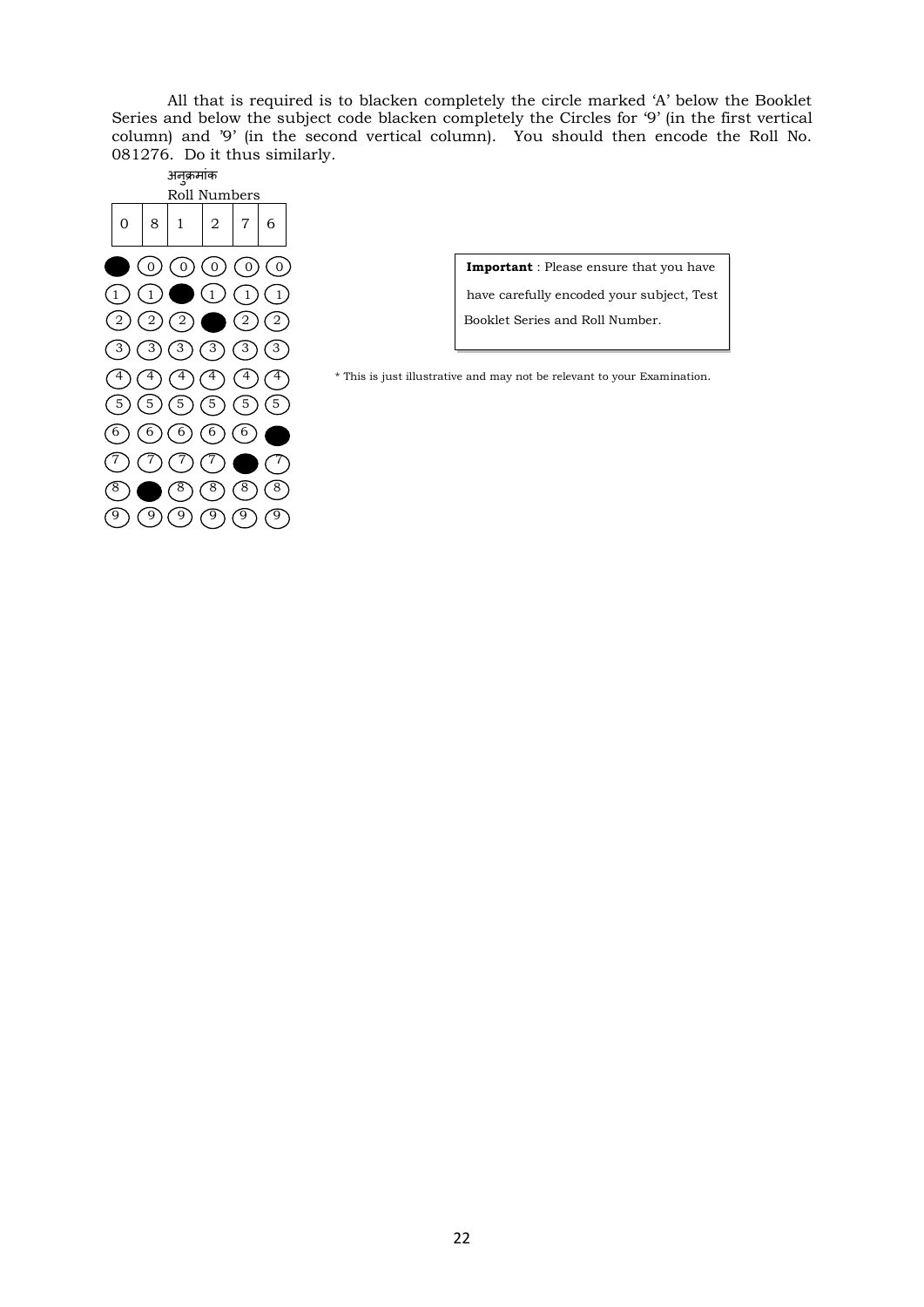All that is required is to blacken completely the circle marked 'A' below the Booklet Series and below the subject code blacken completely the Circles for '9' (in the first vertical column) and '9' (in the second vertical column). You should then encode the Roll No. 081276. Do it thus similarly.



 $(1)$   $(1)$   $(1)$   $(1)$   $(1)$   $(2)$  have carefully encoded your subject, Test

 $(4)$   $(4)$   $(4)$   $(4)$   $(4)$   $(4)$   $(4)$   $(4)$   $(4)$   $(4)$   $(4)$   $(4)$   $(4)$   $(4)$   $(4)$   $(4)$   $(4)$   $(4)$   $(4)$   $(4)$   $(4)$   $(4)$   $(4)$   $(4)$   $(4)$   $(4)$   $(4)$   $(4)$   $(4)$   $(4)$   $(4)$   $(4)$   $(4)$   $(4)$   $(4)$   $(4)$   $(4)$